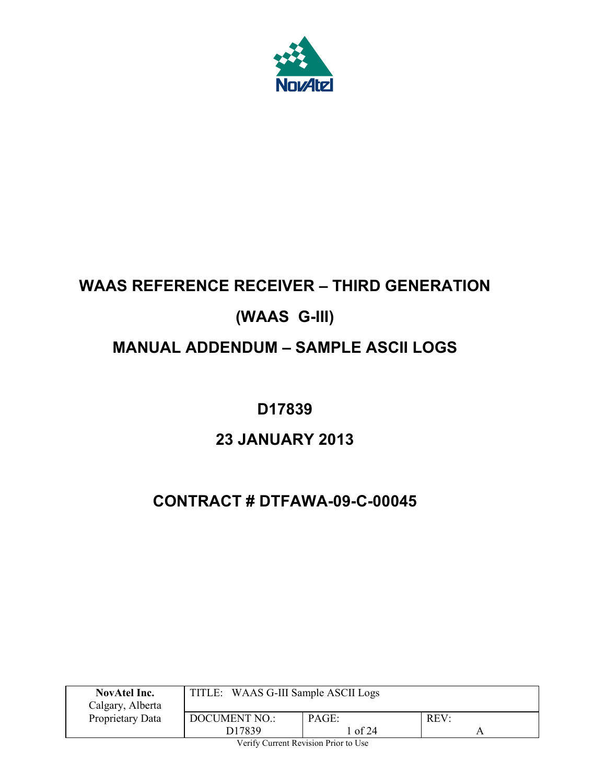

# **WAAS REFERENCE RECEIVER – THIRD GENERATION (WAAS G-III) MANUAL ADDENDUM – SAMPLE ASCII LOGS**

# **D17839**

# **23 JANUARY 2013**

# **CONTRACT # DTFAWA-09-C-00045**

| NovAtel Inc.<br>Calgary, Alberta | TITLE: WAAS G-III Sample ASCII Logs |                  |      |  |
|----------------------------------|-------------------------------------|------------------|------|--|
| Proprietary Data                 | <b>DOCUMENT NO.:</b><br>D17839      | PAGE:<br>l of 24 | REV: |  |
| ______<br>__<br>__               |                                     |                  |      |  |

Verify Current Revision Prior to Use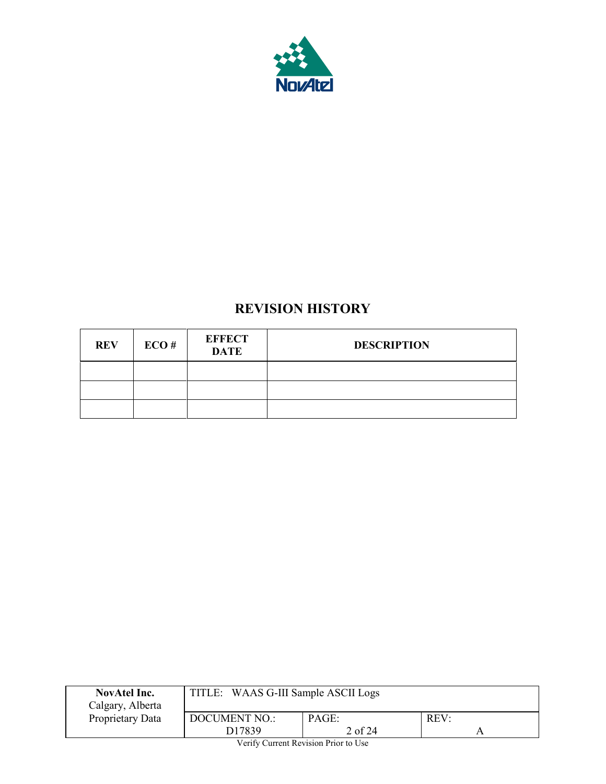

# **REVISION HISTORY**

| <b>REV</b> | ECO# | <b>EFFECT</b><br><b>DATE</b> | <b>DESCRIPTION</b> |
|------------|------|------------------------------|--------------------|
|            |      |                              |                    |
|            |      |                              |                    |
|            |      |                              |                    |

| <b>NovAtel Inc.</b><br>Calgary, Alberta                                                                                                                                                                                                                                                                                            | TITLE: WAAS G-III Sample ASCII Logs        |                  |      |  |
|------------------------------------------------------------------------------------------------------------------------------------------------------------------------------------------------------------------------------------------------------------------------------------------------------------------------------------|--------------------------------------------|------------------|------|--|
| Proprietary Data                                                                                                                                                                                                                                                                                                                   | <b>DOCUMENT NO.:</b><br>D <sub>17839</sub> | PAGE:<br>2 of 24 | REV: |  |
| $\mathbf{v}$ $\mathbf{v}$ $\mathbf{v}$ $\mathbf{v}$ $\mathbf{v}$ $\mathbf{v}$ $\mathbf{v}$ $\mathbf{v}$ $\mathbf{v}$ $\mathbf{v}$ $\mathbf{v}$ $\mathbf{v}$ $\mathbf{v}$ $\mathbf{v}$ $\mathbf{v}$ $\mathbf{v}$ $\mathbf{v}$ $\mathbf{v}$ $\mathbf{v}$ $\mathbf{v}$ $\mathbf{v}$ $\mathbf{v}$ $\mathbf{v}$ $\mathbf{v}$ $\mathbf{$ |                                            |                  |      |  |

Verify Current Revision Prior to Use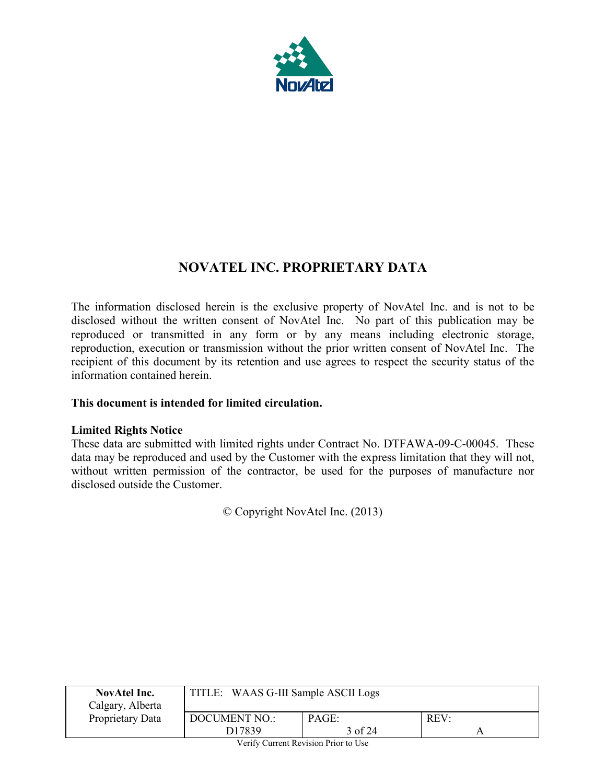

# **NOVATEL INC. PROPRIETARY DATA**

The information disclosed herein is the exclusive property of NovAtel Inc. and is not to be disclosed without the written consent of NovAtel Inc. No part of this publication may be reproduced or transmitted in any form or by any means including electronic storage, reproduction, execution or transmission without the prior written consent of NovAtel Inc. The recipient of this document by its retention and use agrees to respect the security status of the information contained herein.

## **This document is intended for limited circulation.**

## **Limited Rights Notice**

These data are submitted with limited rights under Contract No. DTFAWA-09-C-00045. These data may be reproduced and used by the Customer with the express limitation that they will not, without written permission of the contractor, be used for the purposes of manufacture nor disclosed outside the Customer.

© Copyright NovAtel Inc. (2013)

| <b>NovAtel Inc.</b><br>Calgary, Alberta | TITLE: WAAS G-III Sample ASCII Logs |                  |      |
|-----------------------------------------|-------------------------------------|------------------|------|
| Proprietary Data                        | <b>DOCUMENT NO.:</b><br>D17839      | PAGE:<br>3 of 24 | REV: |
|                                         | -----<br>$\sim$                     | --               |      |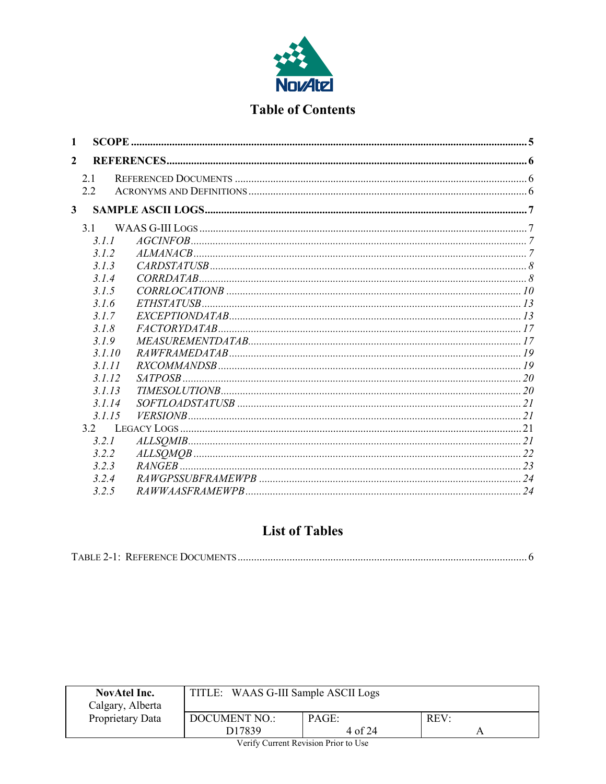

# **Table of Contents**

| $\mathbf{1}$            |        |  |
|-------------------------|--------|--|
| $\overline{2}$          |        |  |
|                         | 2.1    |  |
|                         | 22     |  |
| $\overline{\mathbf{3}}$ |        |  |
|                         | 31     |  |
|                         | 3.1.1  |  |
|                         | 3.1.2  |  |
|                         | 313    |  |
|                         | 3.1.4  |  |
|                         | 3.1.5  |  |
|                         | 3.1.6  |  |
|                         | 317    |  |
|                         | 3.1.8  |  |
|                         | 3.19   |  |
|                         | 3.1.10 |  |
|                         | 3.1.11 |  |
|                         | 3.1.12 |  |
|                         | 3.1.13 |  |
|                         | 3.1.14 |  |
|                         | 3.1.15 |  |
|                         | 3.2    |  |
|                         | 3.2.1  |  |
|                         | 3.2.2  |  |
|                         | 3.23   |  |
|                         | 3.2.4  |  |
|                         | 3.2.5  |  |

# **List of Tables**

|--|

| <b>NovAtel Inc.</b><br>Calgary, Alberta | TITLE: WAAS G-III Sample ASCII Logs                        |            |  |  |
|-----------------------------------------|------------------------------------------------------------|------------|--|--|
| Proprietary Data                        | REV:<br><b>DOCUMENT NO.:</b><br>PAGE:<br>D17839<br>4 of 24 |            |  |  |
|                                         | ______<br>__                                               | __<br>____ |  |  |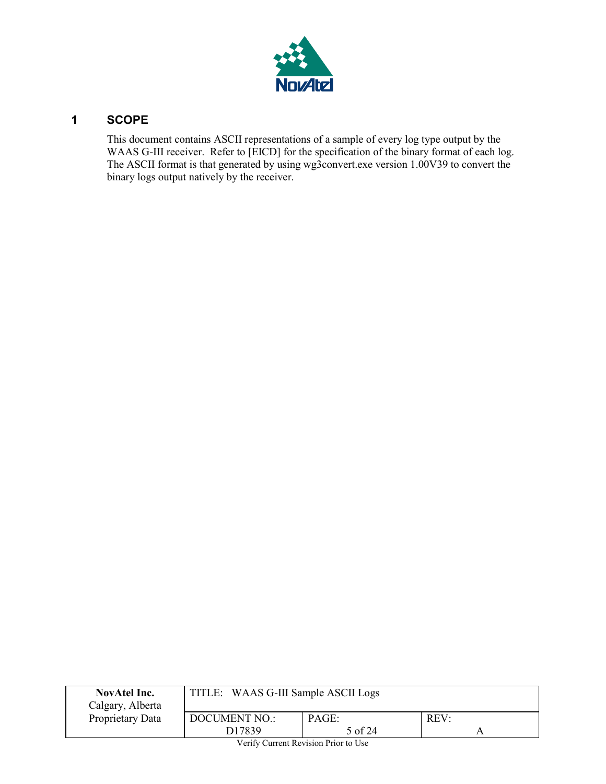

# <span id="page-4-0"></span>**1 SCOPE**

This document contains ASCII representations of a sample of every log type output by the WAAS G-III receiver. Refer to [EICD] for the specification of the binary format of each log. The ASCII format is that generated by using wg3convert.exe version 1.00V39 to convert the binary logs output natively by the receiver.

| <b>NovAtel Inc.</b><br>Calgary, Alberta | TITLE: WAAS G-III Sample ASCII Logs |  |  |  |  |
|-----------------------------------------|-------------------------------------|--|--|--|--|
| Proprietary Data                        | PAGE:<br>DOCUMENT NO.:<br>REV:      |  |  |  |  |
| D <sub>17839</sub><br>5 of 24           |                                     |  |  |  |  |
| Verify Current Revision Prior to Use    |                                     |  |  |  |  |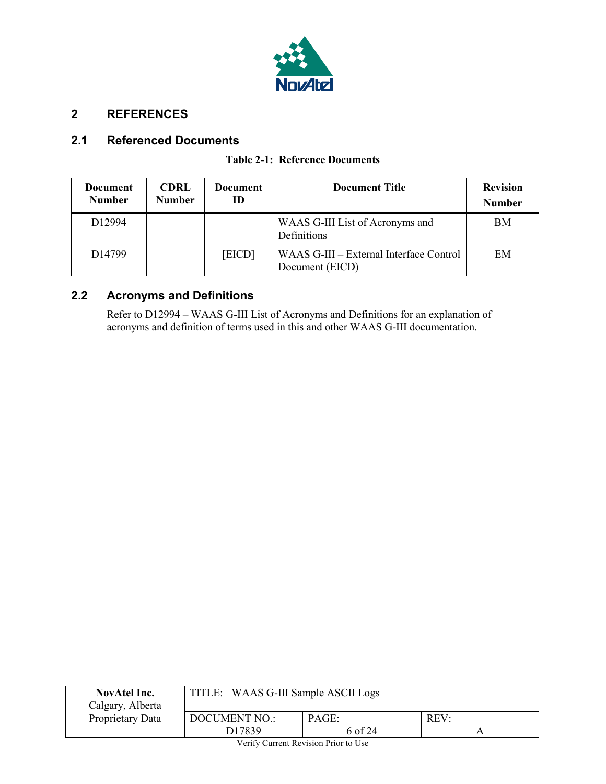

# <span id="page-5-0"></span>**2 REFERENCES**

## <span id="page-5-3"></span><span id="page-5-1"></span>**2.1 Referenced Documents**

#### **Table 2-1: Reference Documents**

| <b>Document</b><br><b>Number</b> | <b>CDRL</b><br><b>Number</b> | <b>Document</b><br>ID | <b>Document Title</b>                                      | <b>Revision</b><br><b>Number</b> |
|----------------------------------|------------------------------|-----------------------|------------------------------------------------------------|----------------------------------|
| D <sub>12994</sub>               |                              |                       | WAAS G-III List of Acronyms and<br>Definitions             | BM                               |
| D <sub>14799</sub>               |                              | [EICD]                | WAAS G-III – External Interface Control<br>Document (EICD) | EM                               |

# <span id="page-5-2"></span>**2.2 Acronyms and Definitions**

Refer to D12994 – WAAS G-III List of Acronyms and Definitions for an explanation of acronyms and definition of terms used in this and other WAAS G-III documentation.

| <b>NovAtel Inc.</b><br>Calgary, Alberta                                                                      | TITLE: WAAS G-III Sample ASCII Logs |                  |      |  |
|--------------------------------------------------------------------------------------------------------------|-------------------------------------|------------------|------|--|
| Proprietary Data                                                                                             | <b>DOCUMENT NO.:</b><br>D17839      | PAGE:<br>6 of 24 | REV: |  |
| $\mathbf{V}$ . $\mathbf{C}$ $\mathbf{C}$ and $\mathbf{D}$ and $\mathbf{D}$ and $\mathbf{D}$ and $\mathbf{V}$ |                                     |                  |      |  |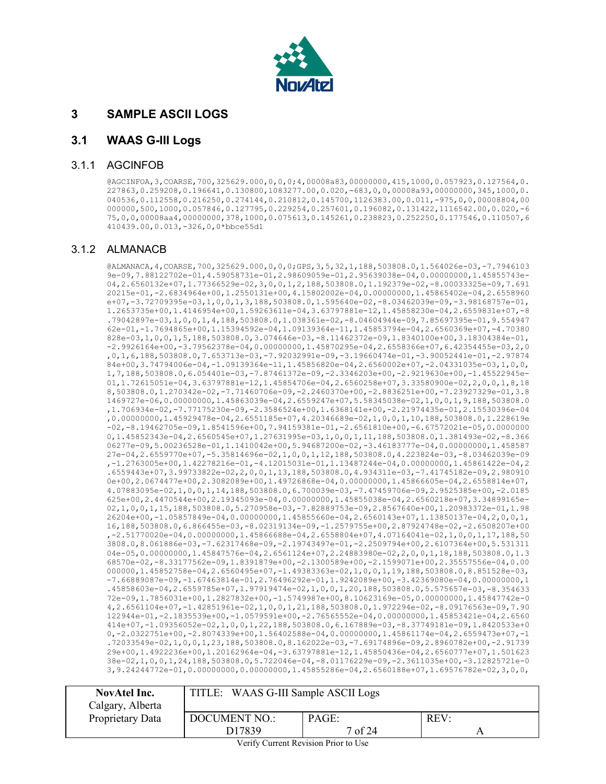

## <span id="page-6-0"></span>**3 SAMPLE ASCII LOGS**

#### <span id="page-6-1"></span>**3.1 WAAS G-III Logs**

#### <span id="page-6-2"></span>3.1.1 AGCINFOB

@AGCINFOA,3,COARSE,700,325629.000,0,0,0;4,00008a83,00000000,415,1000,0.057923,0.127564,0. 227863,0.259208,0.196641,0.130800,1083277.00,0.020,-683,0,0,00008a93,00000000,345,1000,0. 040536,0.112558,0.216250,0.274144,0.210812,0.145700,1126383.00,0.011,-975,0,0,00008804,00 000000,500,1000,0.057846,0.127795,0.229254,0.257601,0.196082,0.131422,1116542.00,0.020,-6 75,0,0,00008aa4,00000000,378,1000,0.075613,0.145261,0.238823,0.252250,0.177546,0.110507,6 410439.00,0.013,-326,0,0\*bbce55d1

#### <span id="page-6-3"></span>3.1.2 ALMANACB

@ALMANACA,4,COARSE,700,325629.000,0,0,0;GPS,3,5,32,1,188,503808.0,1.564026e-03,-7.7946103 9e-09,7.88122702e-01,4.59058731e-01,2.98609059e-01,2.95639038e-04,0.00000000,1.45855743e-04,2.6560132e+07,1.77366529e-02,3,0,0,1,2,188,503808.0,1.192379e-02,-8.00033325e-09,7.691 20215e-01,-2.6834964e+00,1.2550131e+00,4.15802002e-04,0.00000000,1.45865402e-04,2.6558960 e+07,-3.72709395e-03,1,0,0,1,3,188,503808.0,1.595640e-02,-8.03462039e-09,-3.98168757e-01, 1.2653735e+00,1.4146954e+00,1.59263611e-04,3.63797881e-12,1.45858230e-04,2.6559831e+07,-8 .79042897e-03,1,0,0,1,4,188,503808.0,1.038361e-02,-8.04604944e-09,7.85697395e-01,9.554947 62e-01,-1.7694865e+00,1.15394592e-04,1.09139364e-11,1.45853794e-04,2.6560369e+07,-4.70380 828e-03,1,0,0,1,5,188,503808.0,3.074646e-03,-8.11462372e-09,1.8340100e+00,3.18304384e-01, -2.9926164e+00,-3.79562378e-04,0.00000000,1.45870295e-04,2.6558366e+07,6.42354455e-03,2,0 ,0,1,6,188,503808.0,7.653713e-03,-7.92032991e-09,-3.19660474e-01,-3.90052441e-01,-2.97874 84e+00,3.74794006e-04,-1.09139364e-11,1.45856820e-04,2.6560002e+07,-2.04331035e-03,1,0,0, 1,7,188,503808.0,6.054401e-03,-7.87461372e-09,-2.3346203e+00,-2.9219630e+00,-1.45522945e-01,1.72615051e-04,3.63797881e-12,1.45854706e-04,2.6560258e+07,3.33580900e-02,2,0,0,1,8,18 8,503808.0,1.270342e-02,-7.71460706e-09,-2.2460370e+00,-2.8836251e+00,-7.23927329e-01,3.8 1469727e-06,0.00000000,1.45863039e-04,2.6559247e+07,5.58345038e-02,1,0,0,1,9,188,503808.0 ,1.706934e-02,-7.77175230e-09,-2.3586524e+00,1.6368141e+00,-2.21974435e-01,2.15530396e-04 ,0.00000000,1.45929478e-04,2.6551185e+07,4.20346689e-02,1,0,0,1,10,188,503808.0,1.228619e -02,-8.19462705e-09,1.8541596e+00,7.94159381e-01,-2.6561810e+00,-6.67572021e-05,0.0000000 0,1.45852343e-04,2.6560545e+07,1.27631995e-03,1,0,0,1,11,188,503808.0,1.381493e-02,-8.366 06277e-09,5.00236528e-01,1.1410042e+00,5.94687200e-02,-3.46183777e-04,0.00000000,1.458587 27e-04,2.6559770e+07,-5.35814696e-02,1,0,0,1,12,188,503808.0,4.223824e-03,-8.03462039e-09 ,-1.2763005e+00,1.42278216e-01,-4.12015031e-01,1.13487244e-04,0.00000000,1.45861422e-04,2 .6559443e+07,3.99733822e-02,2,0,0,1,13,188,503808.0,4.934311e-03,-7.41745182e-09,2.980910 0e+00,2.0674477e+00,2.3082089e+00,1.49726868e-04,0.00000000,1.45866605e-04,2.6558814e+07, 4.07883095e-02,1,0,0,1,14,188,503808.0,6.700039e-03,-7.47459706e-09,2.9525385e+00,-2.0185 625e+00,2.4470544e+00,2.19345093e-04,0.00000000,1.45855038e-04,2.6560218e+07,3.34899165e-02,1,0,0,1,15,188,503808.0,5.270958e-03,-7.82889753e-09,2.8567640e+00,1.20983372e-01,1.98 26204e+00,-1.05857849e-04,0.00000000,1.45855660e-04,2.6560143e+07,1.13850137e-04,2,0,0,1, 16,188,503808.0,6.866455e-03,-8.02319134e-09,-1.2579755e+00,2.87924748e-02,-2.6508207e+00 ,-2.51770020e-04,0.00000000,1.45866688e-04,2.6558804e+07,4.07164041e-02,1,0,0,1,17,188,50 3808.0,8.061886e-03,-7.62317468e-09,-2.19743497e-01,-2.2509794e+00,2.6107364e+00,5.531311 04e-05,0.00000000,1.45847576e-04,2.6561124e+07,2.24883980e-02,2,0,0,1,18,188,503808.0,1.3 68570e-02,-8.33177562e-09,1.8391879e+00,-2.1300589e+00,-2.1599071e+00,2.35557556e-04,0.00 000000,1.45852758e-04,2.6560495e+07,-1.49383363e-02,1,0,0,1,19,188,503808.0,8.851528e-03, -7.66889087e-09,-1.67463814e-01,2.76496292e-01,1.9242089e+00,-3.42369080e-04,0.00000000,1 .45858603e-04,2.6559785e+07,1.97919474e-02,1,0,0,1,20,188,503808.0,5.575657e-03,-8.354633 72e-09,1.7856031e+00,1.2827832e+00,-1.5749987e+00,8.10623169e-05,0.00000000,1.45847742e-0 4,2.6561104e+07,-1.42851961e-02,1,0,0,1,21,188,503808.0,1.972294e-02,-8.09176563e-09,7.90 122944e-01,-2.1835539e+00,-1.0579591e+00,-2.76565552e-04,0.00000000,1.45853421e-04,2.6560 414e+07,-1.09356052e-02,1,0,0,1,22,188,503808.0,6.167889e-03,-8.37749181e-09,1.8420533e+0 0,-2.0322751e+00,-2.8074339e+00,1.56402588e-04,0.00000000,1.45861174e-04,2.6559473e+07,-1 .72033549e-02,1,0,0,1,23,188,503808.0,8.162022e-03,-7.69174896e-09,2.8960782e+00,-2.91739 29e+00,1.4922236e+00,1.20162964e-04,-3.63797881e-12,1.45850436e-04,2.6560777e+07,1.501623 38e-02,1,0,0,1,24,188,503808.0,5.722046e-04,-8.01176229e-09,-2.3611035e+00,-3.12825721e-0 3,9.24244772e-01,0.00000000,0.00000000,1.45855286e-04,2.6560188e+07,1.69576782e-02,3,0,0,

| NovAtel Inc.<br>Calgary, Alberta | TITLE: WAAS G-III Sample ASCII Logs |                  |      |
|----------------------------------|-------------------------------------|------------------|------|
| Proprietary Data                 | DOCUMENT NO.:<br>D <sub>17839</sub> | PAGE:<br>7 of 24 | REV: |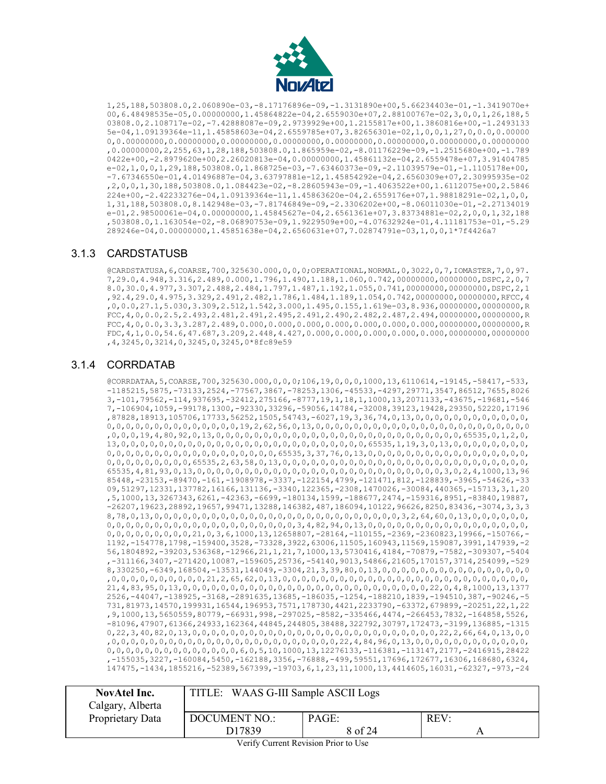

1,25,188,503808.0,2.060890e-03,-8.17176896e-09,-1.3131890e+00,5.66234403e-01,-1.3419070e+ 00,6.48498535e-05,0.00000000,1.45864822e-04,2.6559030e+07,2.88100767e-02,3,0,0,1,26,188,5 03808.0,2.108717e-02,-7.42888087e-09,2.9739929e+00,1.2155817e+00,1.3860816e+00,-1.2493133 5e-04,1.09139364e-11,1.45858603e-04,2.6559785e+07,3.82656301e-02,1,0,0,1,27,0,0.0,0.00000 0,0.00000000,0.00000000,0.00000000,0.00000000,0.00000000,0.00000000,0.00000000,0.00000000 ,0.00000000,2,255,63,1,28,188,503808.0,1.865959e-02,-8.01176229e-09,-1.2515680e+00,-1.789 0422e+00,-2.8979620e+00,2.26020813e-04,0.00000000,1.45861132e-04,2.6559478e+07,3.91404785 e-02,1,0,0,1,29,188,503808.0,1.868725e-03,-7.63460373e-09,-2.11039579e-01,-1.1105178e+00, -7.67346550e-01,4.01496887e-04,3.63797881e-12,1.45854292e-04,2.6560309e+07,2.30995935e-02 ,2,0,0,1,30,188,503808.0,1.084423e-02,-8.28605943e-09,-1.4063522e+00,1.6112075e+00,2.5846 224e+00,-2.42233276e-04,1.09139364e-11,1.45863620e-04,2.6559176e+07,1.98818291e-02,1,0,0, 1,31,188,503808.0,8.142948e-03,-7.81746849e-09,-2.3306202e+00,-8.06011030e-01,-2.27134019 e-01,2.98500061e-04,0.00000000,1.45845627e-04,2.6561361e+07,3.83734881e-02,2,0,0,1,32,188 ,503808.0,1.163054e-02,-8.06890753e-09,1.9229509e+00,-4.07632924e-01,4.11181753e-01,-5.29 289246e-04,0.00000000,1.45851638e-04,2.6560631e+07,7.02874791e-03,1,0,0,1\*7f4426a7

#### <span id="page-7-0"></span>3.1.3 CARDSTATUSB

@CARDSTATUSA,6,COARSE,700,325630.000,0,0,0;OPERATIONAL,NORMAL,0,3022,0,7,IOMASTER,7,0,97. 7,29.0,4.948,3.316,2.489,0.000,1.796,1.490,1.188,1.060,0.742,00000000,00000000,DSPC,2,0,7 8.0,30.0,4.977,3.307,2.488,2.484,1.797,1.487,1.192,1.055,0.741,00000000,00000000,DSPC,2,1 ,92.4,29.0,4.975,3.329,2.491,2.482,1.786,1.484,1.189,1.054,0.742,00000000,00000000,RFCC,4 ,0,0.0,27.1,5.030,3.309,2.512,1.542,3.000,1.495,0.155,1.619e-03,8.936,00000000,00000000,R FCC,4,0,0.0,2.5,2.493,2.481,2.491,2.495,2.491,2.490,2.482,2.487,2.494,00000000,00000000,R FCC,4,0,0.0,3.3,3.287,2.489,0.000,0.000,0.000,0.000,0.000,0.000,0.000,00000000,00000000,R FDC,4,1,0.0,54.6,47.687,3.209,2.448,4.427,0.000,0.000,0.000,0.000,0.000,00000000,00000000 ,4,3245,0,3214,0,3245,0,3245,0\*8fc89e59

## <span id="page-7-1"></span>3.1.4 CORRDATAB

@CORRDATAA,5,COARSE,700,325630.000,0,0,0;106,19,0,0,0,1000,13,6110614,-19145,-58417,-533, -1185215,5875,-73133,2524,-77567,3867,-78253,1306,-45533,-4297,29771,3547,86512,7655,8026 3,-101,79562,-114,937695,-32412,275166,-8777,19,1,18,1,1000,13,2071133,-43675,-19681,-546 7,-106904,1059,-99178,1300,-92330,33296,-59056,14784,-32008,39123,19428,29350,52220,17196 ,87828,18913,105706,17733,56252,1505,54743,-6027,19,3,36,74,0,13,0,0,0,0,0,0,0,0,0,0,0,0, 0,0,0,0,0,0,0,0,0,0,0,0,0,0,19,2,62,56,0,13,0,0,0,0,0,0,0,0,0,0,0,0,0,0,0,0,0,0,0,0,0,0,0 ,0,0,0,19,4,80,92,0,13,0,0,0,0,0,0,0,0,0,0,0,0,0,0,0,0,0,0,0,0,0,0,0,0,0,0,65535,0,1,2,0, 13,0,0,0,0,0,0,0,0,0,0,0,0,0,0,0,0,0,0,0,0,0,0,0,0,0,0,65535,1,19,3,0,13,0,0,0,0,0,0,0,0, 0,0,0,0,0,0,0,0,0,0,0,0,0,0,0,0,0,0,65535,3,37,76,0,13,0,0,0,0,0,0,0,0,0,0,0,0,0,0,0,0,0, 0,0,0,0,0,0,0,0,0,65535,2,63,58,0,13,0,0,0,0,0,0,0,0,0,0,0,0,0,0,0,0,0,0,0,0,0,0,0,0,0,0, 65535,4,81,93,0,13,0,0,0,0,0,0,0,0,0,0,0,0,0,0,0,0,0,0,0,0,0,0,0,0,0,0,3,0,2,4,1000,13,96 85448,-23153,-89470,-161,-1908978,-3337,-122154,4799,-121471,812,-128839,-3965,-54626,-33 09,51297,12331,137782,16166,131136,-3340,122365,-2308,1470026,-30084,440365,-15713,3,1,20 ,5,1000,13,3267343,6261,-42363,-6699,-180134,1599,-188677,2474,-159316,8951,-83840,19887, -26207,19623,28892,19657,99471,13288,146382,487,186094,10122,96626,8250,83436,-3074,3,3,3 8,78,0,13,0,0,0,0,0,0,0,0,0,0,0,0,0,0,0,0,0,0,0,0,0,0,0,0,0,0,3,2,64,60,0,13,0,0,0,0,0,0, 0,0,0,0,0,0,0,0,0,0,0,0,0,0,0,0,0,0,0,0,3,4,82,94,0,13,0,0,0,0,0,0,0,0,0,0,0,0,0,0,0,0,0, 0,0,0,0,0,0,0,0,0,21,0,3,6,1000,13,12658807,-28164,-110155,-2369,-2360823,19966,-150766,- 1192,-154778,1798,-159400,3528,-73328,3922,63006,11505,160943,11569,159087,3991,147939,-2 56,1804892,-39203,536368,-12966,21,1,21,7,1000,13,5730416,4184,-70879,-7582,-309307,-5404 ,-311166,3407,-271420,10087,-159605,25736,-54140,9013,54866,21605,170157,3714,254099,-529 8,330250,-6349,168504,-13531,144049,-3304,21,3,39,80,0,13,0,0,0,0,0,0,0,0,0,0,0,0,0,0,0,0 ,0,0,0,0,0,0,0,0,0,0,21,2,65,62,0,13,0,0,0,0,0,0,0,0,0,0,0,0,0,0,0,0,0,0,0,0,0,0,0,0,0,0, 21,4,83,95,0,13,0,0,0,0,0,0,0,0,0,0,0,0,0,0,0,0,0,0,0,0,0,0,0,0,0,0,22,0,4,8,1000,13,1377 2526,-44047,-138925,-3168,-2891635,13685,-186035,-1254,-188210,1839,-194510,387,-90246,-5 731,81973,14570,199931,16544,196953,7571,178730,4421,2233790,-63372,679899,-20251,22,1,22 ,9,1000,13,5650559,80779,-66931,998,-297025,-8582,-335466,4474,-266453,7832,-164858,5526, -81096,47907,61366,24933,162364,44845,244805,38488,322792,30797,172473,-3199,136885,-1315 0,22,3,40,82,0,13,0,0,0,0,0,0,0,0,0,0,0,0,0,0,0,0,0,0,0,0,0,0,0,0,0,0,22,2,66,64,0,13,0,0 ,0,0,0,0,0,0,0,0,0,0,0,0,0,0,0,0,0,0,0,0,0,0,0,0,22,4,84,96,0,13,0,0,0,0,0,0,0,0,0,0,0,0, 0,0,0,0,0,0,0,0,0,0,0,0,0,0,6,0,5,10,1000,13,12276133,-116381,-113147,2177,-2416915,28422 ,-155035,3227,-160084,5450,-162188,3356,-76888,-499,59551,17696,172677,16306,168680,6324, 147475,-1434,1855216,-52389,567399,-19703,6,1,23,11,1000,13,4414605,16031,-62327,-973,-24

| NovAtel Inc.<br>Calgary, Alberta | TITLE: WAAS G-III Sample ASCII Logs |                  |      |
|----------------------------------|-------------------------------------|------------------|------|
| Proprietary Data                 | DOCUMENT NO.:<br>D17839             | PAGE:<br>8 of 24 | REV: |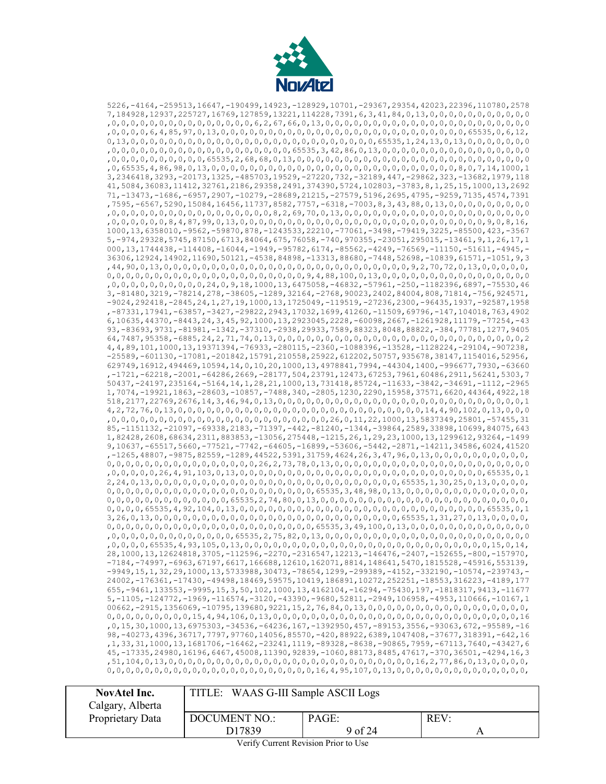

5226,-4164,-259513,16647,-190499,14923,-128929,10701,-29367,29354,42023,22396,110780,2578 7,184928,12937,225727,16769,127859,13221,114228,7391,6,3,41,84,0,13,0,0,0,0,0,0,0,0,0,0,0 ,0,0,0,0,0,0,0,0,0,0,0,0,0,0,0,6,2,67,66,0,13,0,0,0,0,0,0,0,0,0,0,0,0,0,0,0,0,0,0,0,0,0,0 ,0,0,0,0,6,4,85,97,0,13,0,0,0,0,0,0,0,0,0,0,0,0,0,0,0,0,0,0,0,0,0,0,0,0,0,0,65535,0,6,12, 0,13,0,0,0,0,0,0,0,0,0,0,0,0,0,0,0,0,0,0,0,0,0,0,0,0,0,0,65535,1,24,13,0,13,0,0,0,0,0,0,0 ,0,0,0,0,0,0,0,0,0,0,0,0,0,0,0,0,0,0,0,65535,3,42,86,0,13,0,0,0,0,0,0,0,0,0,0,0,0,0,0,0,0 ,0,0,0,0,0,0,0,0,0,0,65535,2,68,68,0,13,0,0,0,0,0,0,0,0,0,0,0,0,0,0,0,0,0,0,0,0,0,0,0,0,0 ,0,65535,4,86,98,0,13,0,0,0,0,0,0,0,0,0,0,0,0,0,0,0,0,0,0,0,0,0,0,0,0,0,0,8,0,7,14,1000,1 3,2346418,3293,-20173,1325,-485703,19529,-27220,732,-32189,447,-29862,323,-13682,1979,118 41,5084,36083,11412,32761,2186,29358,2491,374390,5724,102803,-3783,8,1,25,15,1000,13,2692 71,-13473,-1686,-6957,2907,-10279,-28689,21215,-27579,5196,2695,4795,-9259,7135,4574,7391 ,7595,-6567,5290,15084,16456,11737,8582,7757,-6318,-7003,8,3,43,88,0,13,0,0,0,0,0,0,0,0,0 ,0,0,0,0,0,0,0,0,0,0,0,0,0,0,0,0,0,8,2,69,70,0,13,0,0,0,0,0,0,0,0,0,0,0,0,0,0,0,0,0,0,0,0 ,0,0,0,0,0,0,8,4,87,99,0,13,0,0,0,0,0,0,0,0,0,0,0,0,0,0,0,0,0,0,0,0,0,0,0,0,0,0,9,0,8,16, 1000,13,6358010,-9562,-59870,878,-1243533,22210,-77061,-3498,-79419,3225,-85500,423,-3567 5,-974,29328,5745,87150,6713,84064,675,76058,-740,970355,-23051,295015,-13461,9,1,26,17,1 000,13,1744438,-114408,-16044,-1949,-95782,6174,-85562,-4249,-76569,-11150,-51611,-4945,- 36306,12924,14902,11690,50121,-4538,84898,-13313,88680,-7448,52698,-10839,61571,-1051,9,3 ,44,90,0,13,0,0,0,0,0,0,0,0,0,0,0,0,0,0,0,0,0,0,0,0,0,0,0,0,0,0,9,2,70,72,0,13,0,0,0,0,0, 0,0,0,0,0,0,0,0,0,0,0,0,0,0,0,0,0,0,0,0,0,9,4,88,100,0,13,0,0,0,0,0,0,0,0,0,0,0,0,0,0,0,0 ,0,0,0,0,0,0,0,0,0,0,24,0,9,18,1000,13,6475058,-46832,-57961,-250,-1182396,6897,-75530,46 3,-81480,3219,-78214,278,-38605,-1289,32164,-2768,90023,2402,84004,808,71814,-756,924571, -9024,292418,-2845,24,1,27,19,1000,13,1725049,-119519,-27236,2300,-96435,1937,-92587,1958 ,-87331,17941,-63857,-3427,-29822,2943,17032,1699,41260,-11509,69796,-147,104018,763,4902 6,10635,44370,-8443,24,3,45,92,1000,13,2923045,2228,-60098,2667,-1261928,11179,-77254,-43 93,-83693,9731,-81981,-1342,-37310,-2938,29933,7589,88323,8048,88822,-384,77781,1277,9405 64,7487,95358,-6885,24,2,71,74,0,13,0,0,0,0,0,0,0,0,0,0,0,0,0,0,0,0,0,0,0,0,0,0,0,0,0,0,2 4,4,89,101,1000,13,19371394,-76933,-280115,-2360,-1088396,-13528,-1128224,-29104,-907238, -25589,-601130,-17081,-201842,15791,210558,25922,612202,50757,935678,38147,1154016,52956, 629749,16912,494469,10594,14,0,10,20,1000,13,4978841,7994,-44304,1400,-996677,7930,-63660 ,-1721,-62218,-2001,-64286,2669,-28177,504,23791,12473,67253,7961,60486,2911,56241,5303,7 50437,-24197,235164,-5164,14,1,28,21,1000,13,731418,85724,-11633,-3842,-34691,-1112,-2965 1,7074,-19921,1863,-28603,-10857,-7488,340,-2805,1230,2290,15958,37571,6620,44364,4922,18 518,2177,22769,2676,14,3,46,94,0,13,0,0,0,0,0,0,0,0,0,0,0,0,0,0,0,0,0,0,0,0,0,0,0,0,0,0,1 4,2,72,76,0,13,0,0,0,0,0,0,0,0,0,0,0,0,0,0,0,0,0,0,0,0,0,0,0,0,0,0,14,4,90,102,0,13,0,0,0 ,0,0,0,0,0,0,0,0,0,0,0,0,0,0,0,0,0,0,0,0,0,0,0,26,0,11,22,1000,13,5837349,25801,-57455,31 85,-1151132,-21097,-69338,2183,-71397,-442,-81240,-1344,-39864,2589,33898,10699,84075,643 1,82428,2608,68634,2311,883853,-13056,275448,-1215,26,1,29,23,1000,13,1299612,93264,-1499 9,10637,-65517,5660,-77521,-7742,-64605,-16899,-53606,-5442,-2871,-14211,34586,6024,41520 ,-1265,48807,-9875,82559,-1289,44522,5391,31759,4624,26,3,47,96,0,13,0,0,0,0,0,0,0,0,0,0, 0,0,0,0,0,0,0,0,0,0,0,0,0,0,0,0,26,2,73,78,0,13,0,0,0,0,0,0,0,0,0,0,0,0,0,0,0,0,0,0,0,0,0 ,0,0,0,0,0,26,4,91,103,0,13,0,0,0,0,0,0,0,0,0,0,0,0,0,0,0,0,0,0,0,0,0,0,0,0,0,0,65535,0,1 2,24,0,13,0,0,0,0,0,0,0,0,0,0,0,0,0,0,0,0,0,0,0,0,0,0,0,0,0,0,65535,1,30,25,0,13,0,0,0,0, 0,0,0,0,0,0,0,0,0,0,0,0,0,0,0,0,0,0,0,0,0,0,65535,3,48,98,0,13,0,0,0,0,0,0,0,0,0,0,0,0,0, 0,0,0,0,0,0,0,0,0,0,0,0,0,65535,2,74,80,0,13,0,0,0,0,0,0,0,0,0,0,0,0,0,0,0,0,0,0,0,0,0,0, 0,0,0,0,65535,4,92,104,0,13,0,0,0,0,0,0,0,0,0,0,0,0,0,0,0,0,0,0,0,0,0,0,0,0,0,0,65535,0,1 3,26,0,13,0,0,0,0,0,0,0,0,0,0,0,0,0,0,0,0,0,0,0,0,0,0,0,0,0,0,65535,1,31,27,0,13,0,0,0,0, 0,0,0,0,0,0,0,0,0,0,0,0,0,0,0,0,0,0,0,0,0,0,65535,3,49,100,0,13,0,0,0,0,0,0,0,0,0,0,0,0,0 ,0,0,0,0,0,0,0,0,0,0,0,0,0,65535,2,75,82,0,13,0,0,0,0,0,0,0,0,0,0,0,0,0,0,0,0,0,0,0,0,0,0 ,0,0,0,0,65535,4,93,105,0,13,0,0,0,0,0,0,0,0,0,0,0,0,0,0,0,0,0,0,0,0,0,0,0,0,0,0,15,0,14, 28,1000,13,12624818,3705,-112596,-2270,-2316547,12213,-146476,-2407,-152655,-800,-157970, -7184,-74997,-6963,67197,6617,166688,12610,162071,8814,148641,5470,1815528,-45916,553139, -9949,15,1,32,29,1000,13,5733988,30473,-78654,1299,-299389,-4152,-332190,-10574,-239743,- 24002,-176361,-17430,-49498,18469,59575,10419,186891,10272,252251,-18553,316223,-4189,177 655,-9461,133553,-9995,15,3,50,102,1000,13,4162104,-16294,-75430,197,-1818317,9413,-11677 5,-1105,-124772,-1969,-116574,-3120,-43390,-9680,52811,-2949,106958,-4953,110666,-10167,1 00662,-2915,1356069,-10795,139680,9221,15,2,76,84,0,13,0,0,0,0,0,0,0,0,0,0,0,0,0,0,0,0,0, 0,0,0,0,0,0,0,0,0,15,4,94,106,0,13,0,0,0,0,0,0,0,0,0,0,0,0,0,0,0,0,0,0,0,0,0,0,0,0,0,0,16 ,0,15,30,1000,13,6975303,-34536,-64236,167,-1392950,457,-89153,3556,-93063,672,-95589,-16 98,-40273,4396,36717,7797,97760,14056,85570,-420,88922,6389,1047408,-37677,318391,-642,16 ,1,33,31,1000,13,1681706,-16462,-23241,1119,-89328,-8638,-90865,7959,-67113,7640,-43427,6 45,-17335,24980,16196,6467,45008,11390,92839,-1060,88173,8485,47617,-370,36501,-4294,16,3 ,51,104,0,13,0,0,0,0,0,0,0,0,0,0,0,0,0,0,0,0,0,0,0,0,0,0,0,0,0,0,16,2,77,86,0,13,0,0,0,0, 0,0,0,0,0,0,0,0,0,0,0,0,0,0,0,0,0,0,0,0,0,0,16,4,95,107,0,13,0,0,0,0,0,0,0,0,0,0,0,0,0,0,

| <b>NovAtel Inc.</b><br>Calgary, Alberta | TITLE: WAAS G-III Sample ASCII Logs                 |  |  |  |
|-----------------------------------------|-----------------------------------------------------|--|--|--|
| Proprietary Data                        | REV:<br>PAGE:<br>DOCUMENT NO.:<br>9 of 24<br>D17839 |  |  |  |
|                                         |                                                     |  |  |  |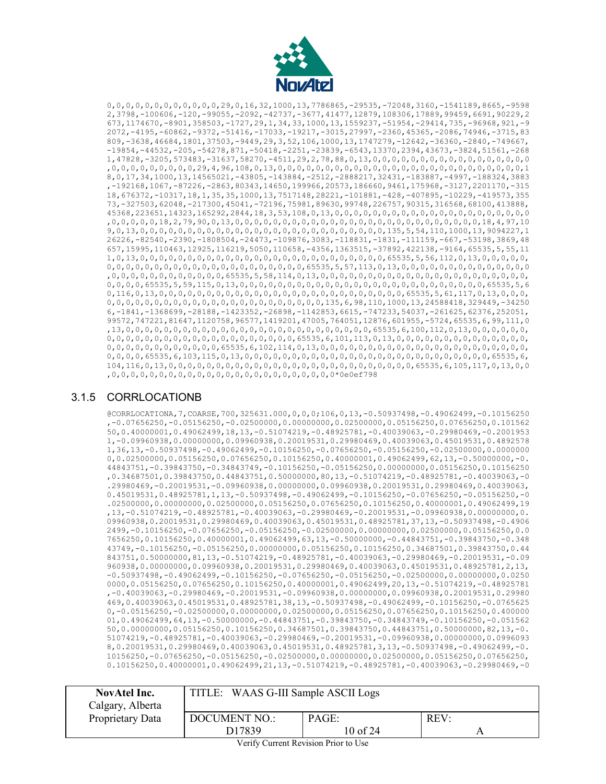

0,0,0,0,0,0,0,0,0,0,0,0,29,0,16,32,1000,13,7786865,-29535,-72048,3160,-1541189,8665,-9598 2,3798,-100606,-120,-99055,-2092,-42737,-3677,41477,12879,108306,17889,99459,6691,90229,2 673,1174670,-8901,358503,-1727,29,1,34,33,1000,13,1559237,-51954,-29414,735,-96968,921,-9 2072,-4195,-60862,-9372,-51416,-17033,-19217,-3015,27997,-2360,45365,-2086,74946,-3715,83 809,-3638,46684,1801,37503,-9449,29,3,52,106,1000,13,1747279,-12642,-36360,-2840,-749667, -19854,-44532,-205,-54278,871,-50418,-2251,-23839,-6543,13370,2394,43673,-3824,51561,-268 1,47828,-3205,573483,-31637,58270,-4511,29,2,78,88,0,13,0,0,0,0,0,0,0,0,0,0,0,0,0,0,0,0,0 ,0,0,0,0,0,0,0,0,0,29,4,96,108,0,13,0,0,0,0,0,0,0,0,0,0,0,0,0,0,0,0,0,0,0,0,0,0,0,0,0,0,1 8,0,17,34,1000,13,14565021,-43805,-143884,-2512,-2888217,32431,-183887,-4997,-188324,3883 ,-192168,1067,-87226,-2863,80343,14650,199966,20573,186660,9461,175968,-3127,2201170,-315 18,676372,-10317,18,1,35,35,1000,13,7517148,28221,-101881,-428,-407895,-10229,-419573,355 73,-327503,62048,-217300,45041,-72196,75981,89630,99748,226757,90315,316568,68100,413888, 45368,223651,14323,165292,2844,18,3,53,108,0,13,0,0,0,0,0,0,0,0,0,0,0,0,0,0,0,0,0,0,0,0,0 ,0,0,0,0,0,18,2,79,90,0,13,0,0,0,0,0,0,0,0,0,0,0,0,0,0,0,0,0,0,0,0,0,0,0,0,0,0,18,4,97,10 9,0,13,0,0,0,0,0,0,0,0,0,0,0,0,0,0,0,0,0,0,0,0,0,0,0,0,0,0,135,5,54,110,1000,13,9094227,1 26226,-82540,-2390,-1808504,-24473,-109876,3083,-118831,-1831,-111159,-667,-53198,3869,48 657,15995,110463,12925,116219,5050,110658,-4356,1363515,-37892,422138,-9164,65535,5,55,11 1,0,13,0,0,0,0,0,0,0,0,0,0,0,0,0,0,0,0,0,0,0,0,0,0,0,0,0,0,65535,5,56,112,0,13,0,0,0,0,0, 0,0,0,0,0,0,0,0,0,0,0,0,0,0,0,0,0,0,0,0,0,65535,5,57,113,0,13,0,0,0,0,0,0,0,0,0,0,0,0,0,0 ,0,0,0,0,0,0,0,0,0,0,0,0,65535,5,58,114,0,13,0,0,0,0,0,0,0,0,0,0,0,0,0,0,0,0,0,0,0,0,0,0, 0,0,0,0,65535,5,59,115,0,13,0,0,0,0,0,0,0,0,0,0,0,0,0,0,0,0,0,0,0,0,0,0,0,0,0,0,65535,5,6 0,116,0,13,0,0,0,0,0,0,0,0,0,0,0,0,0,0,0,0,0,0,0,0,0,0,0,0,0,0,65535,5,61,117,0,13,0,0,0, 0,0,0,0,0,0,0,0,0,0,0,0,0,0,0,0,0,0,0,0,0,0,0,135,6,98,110,1000,13,24588418,329449,-34250 6,-1841,-1368699,-28188,-1423352,-26898,-1142853,6615,-747233,54037,-261625,62376,252051, 99572,747221,81647,1120758,96577,1419201,47005,764051,12876,601955,-5724,65535,6,99,111,0 ,13,0,0,0,0,0,0,0,0,0,0,0,0,0,0,0,0,0,0,0,0,0,0,0,0,0,0,65535,6,100,112,0,13,0,0,0,0,0,0, 0,0,0,0,0,0,0,0,0,0,0,0,0,0,0,0,0,0,0,0,65535,6,101,113,0,13,0,0,0,0,0,0,0,0,0,0,0,0,0,0, 0,0,0,0,0,0,0,0,0,0,0,0,65535,6,102,114,0,13,0,0,0,0,0,0,0,0,0,0,0,0,0,0,0,0,0,0,0,0,0,0, 0,0,0,0,65535,6,103,115,0,13,0,0,0,0,0,0,0,0,0,0,0,0,0,0,0,0,0,0,0,0,0,0,0,0,0,0,65535,6, 104,116,0,13,0,0,0,0,0,0,0,0,0,0,0,0,0,0,0,0,0,0,0,0,0,0,0,0,0,0,65535,6,105,117,0,13,0,0 ,0,0,0,0,0,0,0,0,0,0,0,0,0,0,0,0,0,0,0,0,0,0,0,0\*0e0ef798

## <span id="page-9-0"></span>3.1.5 CORRLOCATIONB

@CORRLOCATIONA,7,COARSE,700,325631.000,0,0,0;106,0,13,-0.50937498,-0.49062499,-0.10156250 ,-0.07656250,-0.05156250,-0.02500000,0.00000000,0.02500000,0.05156250,0.07656250,0.101562 50,0.40000001,0.49062499,18,13,-0.51074219,-0.48925781,-0.40039063,-0.29980469,-0.2001953 1,-0.09960938,0.00000000,0.09960938,0.20019531,0.29980469,0.40039063,0.45019531,0.4892578 1,36,13,-0.50937498,-0.49062499,-0.10156250,-0.07656250,-0.05156250,-0.02500000,0.0000000 0,0.02500000,0.05156250,0.07656250,0.10156250,0.40000001,0.49062499,62,13,-0.50000000,-0. 44843751,-0.39843750,-0.34843749,-0.10156250,-0.05156250,0.00000000,0.05156250,0.10156250 ,0.34687501,0.39843750,0.44843751,0.50000000,80,13,-0.51074219,-0.48925781,-0.40039063,-0 .29980469,-0.20019531,-0.09960938,0.00000000,0.09960938,0.20019531,0.29980469,0.40039063, 0.45019531,0.48925781,1,13,-0.50937498,-0.49062499,-0.10156250,-0.07656250,-0.05156250,-0 .02500000,0.00000000,0.02500000,0.05156250,0.07656250,0.10156250,0.40000001,0.49062499,19 ,13,-0.51074219,-0.48925781,-0.40039063,-0.29980469,-0.20019531,-0.09960938,0.00000000,0. 09960938,0.20019531,0.29980469,0.40039063,0.45019531,0.48925781,37,13,-0.50937498,-0.4906 2499,-0.10156250,-0.07656250,-0.05156250,-0.02500000,0.00000000,0.02500000,0.05156250,0.0 7656250,0.10156250,0.40000001,0.49062499,63,13,-0.50000000,-0.44843751,-0.39843750,-0.348 43749,-0.10156250,-0.05156250,0.00000000,0.05156250,0.10156250,0.34687501,0.39843750,0.44 843751,0.50000000,81,13,-0.51074219,-0.48925781,-0.40039063,-0.29980469,-0.20019531,-0.09 960938,0.00000000,0.09960938,0.20019531,0.29980469,0.40039063,0.45019531,0.48925781,2,13, -0.50937498,-0.49062499,-0.10156250,-0.07656250,-0.05156250,-0.02500000,0.00000000,0.0250 0000,0.05156250,0.07656250,0.10156250,0.40000001,0.49062499,20,13,-0.51074219,-0.48925781 ,-0.40039063,-0.29980469,-0.20019531,-0.09960938,0.00000000,0.09960938,0.20019531,0.29980 469,0.40039063,0.45019531,0.48925781,38,13,-0.50937498,-0.49062499,-0.10156250,-0.0765625 0,-0.05156250,-0.02500000,0.00000000,0.02500000,0.05156250,0.07656250,0.10156250,0.400000 01,0.49062499,64,13,-0.50000000,-0.44843751,-0.39843750,-0.34843749,-0.10156250,-0.051562 50,0.00000000,0.05156250,0.10156250,0.34687501,0.39843750,0.44843751,0.50000000,82,13,-0. 51074219,-0.48925781,-0.40039063,-0.29980469,-0.20019531,-0.09960938,0.00000000,0.0996093 8,0.20019531,0.29980469,0.40039063,0.45019531,0.48925781,3,13,-0.50937498,-0.49062499,-0. 10156250,-0.07656250,-0.05156250,-0.02500000,0.00000000,0.02500000,0.05156250,0.07656250, 0.10156250,0.40000001,0.49062499,21,13,-0.51074219,-0.48925781,-0.40039063,-0.29980469,-0

| <b>NovAtel Inc.</b> | TITLE: WAAS G-III Sample ASCII Logs |          |      |
|---------------------|-------------------------------------|----------|------|
| Calgary, Alberta    |                                     |          |      |
| Proprietary Data    | <b>DOCUMENT NO.:</b>                | PAGE:    | REV: |
|                     | D17839                              | 10 of 24 |      |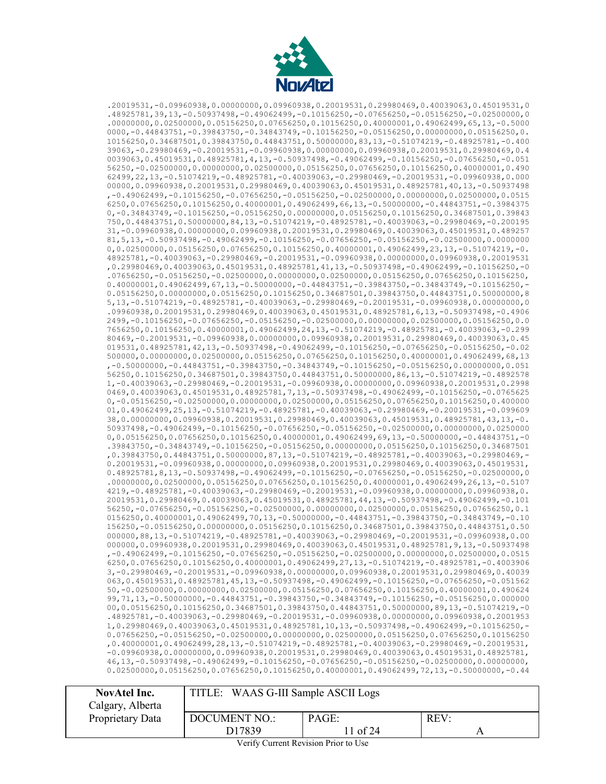

.20019531,-0.09960938,0.00000000,0.09960938,0.20019531,0.29980469,0.40039063,0.45019531,0 .48925781,39,13,-0.50937498,-0.49062499,-0.10156250,-0.07656250,-0.05156250,-0.02500000,0 .00000000,0.02500000,0.05156250,0.07656250,0.10156250,0.40000001,0.49062499,65,13,-0.5000 0000,-0.44843751,-0.39843750,-0.34843749,-0.10156250,-0.05156250,0.00000000,0.05156250,0. 10156250,0.34687501,0.39843750,0.44843751,0.50000000,83,13,-0.51074219,-0.48925781,-0.400 39063,-0.29980469,-0.20019531,-0.09960938,0.00000000,0.09960938,0.20019531,0.29980469,0.4 0039063,0.45019531,0.48925781,4,13,-0.50937498,-0.49062499,-0.10156250,-0.07656250,-0.051 56250,-0.02500000,0.00000000,0.02500000,0.05156250,0.07656250,0.10156250,0.40000001,0.490 62499,22,13,-0.51074219,-0.48925781,-0.40039063,-0.29980469,-0.20019531,-0.09960938,0.000 00000,0.09960938,0.20019531,0.29980469,0.40039063,0.45019531,0.48925781,40,13,-0.50937498 ,-0.49062499,-0.10156250,-0.07656250,-0.05156250,-0.02500000,0.00000000,0.02500000,0.0515 6250,0.07656250,0.10156250,0.40000001,0.49062499,66,13,-0.50000000,-0.44843751,-0.3984375 0,-0.34843749,-0.10156250,-0.05156250,0.00000000,0.05156250,0.10156250,0.34687501,0.39843 750,0.44843751,0.50000000,84,13,-0.51074219,-0.48925781,-0.40039063,-0.29980469,-0.200195 31,-0.09960938,0.00000000,0.09960938,0.20019531,0.29980469,0.40039063,0.45019531,0.489257 81,5,13,-0.50937498,-0.49062499,-0.10156250,-0.07656250,-0.05156250,-0.02500000,0.0000000 0,0.02500000,0.05156250,0.07656250,0.10156250,0.40000001,0.49062499,23,13,-0.51074219,-0. 48925781,-0.40039063,-0.29980469,-0.20019531,-0.09960938,0.00000000,0.09960938,0.20019531 ,0.29980469,0.40039063,0.45019531,0.48925781,41,13,-0.50937498,-0.49062499,-0.10156250,-0 .07656250,-0.05156250,-0.02500000,0.00000000,0.02500000,0.05156250,0.07656250,0.10156250, 0.40000001,0.49062499,67,13,-0.50000000,-0.44843751,-0.39843750,-0.34843749,-0.10156250,- 0.05156250,0.00000000,0.05156250,0.10156250,0.34687501,0.39843750,0.44843751,0.50000000,8 5,13,-0.51074219,-0.48925781,-0.40039063,-0.29980469,-0.20019531,-0.09960938,0.00000000,0 .09960938,0.20019531,0.29980469,0.40039063,0.45019531,0.48925781,6,13,-0.50937498,-0.4906 2499,-0.10156250,-0.07656250,-0.05156250,-0.02500000,0.00000000,0.02500000,0.05156250,0.0 7656250,0.10156250,0.40000001,0.49062499,24,13,-0.51074219,-0.48925781,-0.40039063,-0.299 80469,-0.20019531,-0.09960938,0.00000000,0.09960938,0.20019531,0.29980469,0.40039063,0.45 019531,0.48925781,42,13,-0.50937498,-0.49062499,-0.10156250,-0.07656250,-0.05156250,-0.02 500000,0.00000000,0.02500000,0.05156250,0.07656250,0.10156250,0.40000001,0.49062499,68,13 ,-0.50000000,-0.44843751,-0.39843750,-0.34843749,-0.10156250,-0.05156250,0.00000000,0.051 56250,0.10156250,0.34687501,0.39843750,0.44843751,0.50000000,86,13,-0.51074219,-0.4892578 1,-0.40039063,-0.29980469,-0.20019531,-0.09960938,0.00000000,0.09960938,0.20019531,0.2998 0469,0.40039063,0.45019531,0.48925781,7,13,-0.50937498,-0.49062499,-0.10156250,-0.0765625 0,-0.05156250,-0.02500000,0.00000000,0.02500000,0.05156250,0.07656250,0.10156250,0.400000 01,0.49062499,25,13,-0.51074219,-0.48925781,-0.40039063,-0.29980469,-0.20019531,-0.099609 38,0.00000000,0.09960938,0.20019531,0.29980469,0.40039063,0.45019531,0.48925781,43,13,-0. 50937498,-0.49062499,-0.10156250,-0.07656250,-0.05156250,-0.02500000,0.00000000,0.0250000 0,0.05156250,0.07656250,0.10156250,0.40000001,0.49062499,69,13,-0.50000000,-0.44843751,-0 .39843750,-0.34843749,-0.10156250,-0.05156250,0.00000000,0.05156250,0.10156250,0.34687501 ,0.39843750,0.44843751,0.50000000,87,13,-0.51074219,-0.48925781,-0.40039063,-0.29980469,- 0.20019531,-0.09960938,0.00000000,0.09960938,0.20019531,0.29980469,0.40039063,0.45019531, 0.48925781,8,13,-0.50937498,-0.49062499,-0.10156250,-0.07656250,-0.05156250,-0.02500000,0 .00000000,0.02500000,0.05156250,0.07656250,0.10156250,0.40000001,0.49062499,26,13,-0.5107 4219,-0.48925781,-0.40039063,-0.29980469,-0.20019531,-0.09960938,0.00000000,0.09960938,0. 20019531,0.29980469,0.40039063,0.45019531,0.48925781,44,13,-0.50937498,-0.49062499,-0.101 56250,-0.07656250,-0.05156250,-0.02500000,0.00000000,0.02500000,0.05156250,0.07656250,0.1 0156250,0.40000001,0.49062499,70,13,-0.50000000,-0.44843751,-0.39843750,-0.34843749,-0.10 156250,-0.05156250,0.00000000,0.05156250,0.10156250,0.34687501,0.39843750,0.44843751,0.50 000000,88,13,-0.51074219,-0.48925781,-0.40039063,-0.29980469,-0.20019531,-0.09960938,0.00 000000,0.09960938,0.20019531,0.29980469,0.40039063,0.45019531,0.48925781,9,13,-0.50937498 ,-0.49062499,-0.10156250,-0.07656250,-0.05156250,-0.02500000,0.00000000,0.02500000,0.0515 6250,0.07656250,0.10156250,0.40000001,0.49062499,27,13,-0.51074219,-0.48925781,-0.4003906 3,-0.29980469,-0.20019531,-0.09960938,0.00000000,0.09960938,0.20019531,0.29980469,0.40039 063,0.45019531,0.48925781,45,13,-0.50937498,-0.49062499,-0.10156250,-0.07656250,-0.051562 50,-0.02500000,0.00000000,0.02500000,0.05156250,0.07656250,0.10156250,0.40000001,0.490624 99,71,13,-0.50000000,-0.44843751,-0.39843750,-0.34843749,-0.10156250,-0.05156250,0.000000 00,0.05156250,0.10156250,0.34687501,0.39843750,0.44843751,0.50000000,89,13,-0.51074219,-0 .48925781,-0.40039063,-0.29980469,-0.20019531,-0.09960938,0.00000000,0.09960938,0.2001953 1,0.29980469,0.40039063,0.45019531,0.48925781,10,13,-0.50937498,-0.49062499,-0.10156250,- 0.07656250,-0.05156250,-0.02500000,0.00000000,0.02500000,0.05156250,0.07656250,0.10156250 ,0.40000001,0.49062499,28,13,-0.51074219,-0.48925781,-0.40039063,-0.29980469,-0.20019531, -0.09960938,0.00000000,0.09960938,0.20019531,0.29980469,0.40039063,0.45019531,0.48925781, 46,13,-0.50937498,-0.49062499,-0.10156250,-0.07656250,-0.05156250,-0.02500000,0.00000000, 0.02500000,0.05156250,0.07656250,0.10156250,0.40000001,0.49062499,72,13,-0.50000000,-0.44

| NovAtel Inc.     | TITLE: WAAS G-III Sample ASCII Logs   |          |  |  |
|------------------|---------------------------------------|----------|--|--|
| Calgary, Alberta |                                       |          |  |  |
| Proprietary Data | PAGE:<br>REV:<br><b>DOCUMENT NO.:</b> |          |  |  |
|                  | D <sub>17839</sub>                    | 11 of 24 |  |  |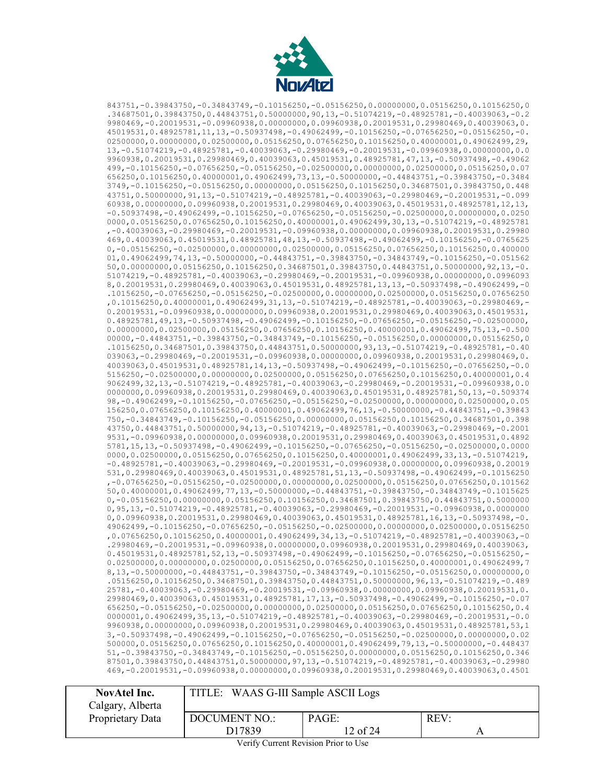

843751,-0.39843750,-0.34843749,-0.10156250,-0.05156250,0.00000000,0.05156250,0.10156250,0 .34687501,0.39843750,0.44843751,0.50000000,90,13,-0.51074219,-0.48925781,-0.40039063,-0.2 9980469,-0.20019531,-0.09960938,0.00000000,0.09960938,0.20019531,0.29980469,0.40039063,0. 45019531,0.48925781,11,13,-0.50937498,-0.49062499,-0.10156250,-0.07656250,-0.05156250,-0. 02500000,0.00000000,0.02500000,0.05156250,0.07656250,0.10156250,0.40000001,0.49062499,29, 13,-0.51074219,-0.48925781,-0.40039063,-0.29980469,-0.20019531,-0.09960938,0.00000000,0.0 9960938,0.20019531,0.29980469,0.40039063,0.45019531,0.48925781,47,13,-0.50937498,-0.49062 499,-0.10156250,-0.07656250,-0.05156250,-0.02500000,0.00000000,0.02500000,0.05156250,0.07 656250,0.10156250,0.40000001,0.49062499,73,13,-0.50000000,-0.44843751,-0.39843750,-0.3484 3749,-0.10156250,-0.05156250,0.00000000,0.05156250,0.10156250,0.34687501,0.39843750,0.448 43751,0.50000000,91,13,-0.51074219,-0.48925781,-0.40039063,-0.29980469,-0.20019531,-0.099 60938,0.00000000,0.09960938,0.20019531,0.29980469,0.40039063,0.45019531,0.48925781,12,13, -0.50937498,-0.49062499,-0.10156250,-0.07656250,-0.05156250,-0.02500000,0.00000000,0.0250 0000,0.05156250,0.07656250,0.10156250,0.40000001,0.49062499,30,13,-0.51074219,-0.48925781 ,-0.40039063,-0.29980469,-0.20019531,-0.09960938,0.00000000,0.09960938,0.20019531,0.29980 469,0.40039063,0.45019531,0.48925781,48,13,-0.50937498,-0.49062499,-0.10156250,-0.0765625 0,-0.05156250,-0.02500000,0.00000000,0.02500000,0.05156250,0.07656250,0.10156250,0.400000 01,0.49062499,74,13,-0.50000000,-0.44843751,-0.39843750,-0.34843749,-0.10156250,-0.051562 50,0.00000000,0.05156250,0.10156250,0.34687501,0.39843750,0.44843751,0.50000000,92,13,-0. 51074219,-0.48925781,-0.40039063,-0.29980469,-0.20019531,-0.09960938,0.00000000,0.0996093 8,0.20019531,0.29980469,0.40039063,0.45019531,0.48925781,13,13,-0.50937498,-0.49062499,-0 .10156250,-0.07656250,-0.05156250,-0.02500000,0.00000000,0.02500000,0.05156250,0.07656250 ,0.10156250,0.40000001,0.49062499,31,13,-0.51074219,-0.48925781,-0.40039063,-0.29980469,- 0.20019531,-0.09960938,0.00000000,0.09960938,0.20019531,0.29980469,0.40039063,0.45019531, 0.48925781,49,13,-0.50937498,-0.49062499,-0.10156250,-0.07656250,-0.05156250,-0.02500000, 0.00000000,0.02500000,0.05156250,0.07656250,0.10156250,0.40000001,0.49062499,75,13,-0.500 00000,-0.44843751,-0.39843750,-0.34843749,-0.10156250,-0.05156250,0.00000000,0.05156250,0 .10156250,0.34687501,0.39843750,0.44843751,0.50000000,93,13,-0.51074219,-0.48925781,-0.40 039063,-0.29980469,-0.20019531,-0.09960938,0.00000000,0.09960938,0.20019531,0.29980469,0. 40039063,0.45019531,0.48925781,14,13,-0.50937498,-0.49062499,-0.10156250,-0.07656250,-0.0 5156250,-0.02500000,0.00000000,0.02500000,0.05156250,0.07656250,0.10156250,0.40000001,0.4 9062499,32,13,-0.51074219,-0.48925781,-0.40039063,-0.29980469,-0.20019531,-0.09960938,0.0 0000000,0.09960938,0.20019531,0.29980469,0.40039063,0.45019531,0.48925781,50,13,-0.509374 98,-0.49062499,-0.10156250,-0.07656250,-0.05156250,-0.02500000,0.00000000,0.02500000,0.05 156250,0.07656250,0.10156250,0.40000001,0.49062499,76,13,-0.50000000,-0.44843751,-0.39843 750,-0.34843749,-0.10156250,-0.05156250,0.00000000,0.05156250,0.10156250,0.34687501,0.398 43750,0.44843751,0.50000000,94,13,-0.51074219,-0.48925781,-0.40039063,-0.29980469,-0.2001 9531,-0.09960938,0.00000000,0.09960938,0.20019531,0.29980469,0.40039063,0.45019531,0.4892 5781,15,13,-0.50937498,-0.49062499,-0.10156250,-0.07656250,-0.05156250,-0.02500000,0.0000 0000,0.02500000,0.05156250,0.07656250,0.10156250,0.40000001,0.49062499,33,13,-0.51074219, -0.48925781,-0.40039063,-0.29980469,-0.20019531,-0.09960938,0.00000000,0.09960938,0.20019 531,0.29980469,0.40039063,0.45019531,0.48925781,51,13,-0.50937498,-0.49062499,-0.10156250 ,-0.07656250,-0.05156250,-0.02500000,0.00000000,0.02500000,0.05156250,0.07656250,0.101562 50,0.40000001,0.49062499,77,13,-0.50000000,-0.44843751,-0.39843750,-0.34843749,-0.1015625 0,-0.05156250,0.00000000,0.05156250,0.10156250,0.34687501,0.39843750,0.44843751,0.5000000 0,95,13,-0.51074219,-0.48925781,-0.40039063,-0.29980469,-0.20019531,-0.09960938,0.0000000 0,0.09960938,0.20019531,0.29980469,0.40039063,0.45019531,0.48925781,16,13,-0.50937498,-0. 49062499,-0.10156250,-0.07656250,-0.05156250,-0.02500000,0.00000000,0.02500000,0.05156250 ,0.07656250,0.10156250,0.40000001,0.49062499,34,13,-0.51074219,-0.48925781,-0.40039063,-0 .29980469,-0.20019531,-0.09960938,0.00000000,0.09960938,0.20019531,0.29980469,0.40039063, 0.45019531,0.48925781,52,13,-0.50937498,-0.49062499,-0.10156250,-0.07656250,-0.05156250,- 0.02500000,0.00000000,0.02500000,0.05156250,0.07656250,0.10156250,0.40000001,0.49062499,7 8,13,-0.50000000,-0.44843751,-0.39843750,-0.34843749,-0.10156250,-0.05156250,0.00000000,0 .05156250,0.10156250,0.34687501,0.39843750,0.44843751,0.50000000,96,13,-0.51074219,-0.489 25781,-0.40039063,-0.29980469,-0.20019531,-0.09960938,0.00000000,0.09960938,0.20019531,0. 29980469,0.40039063,0.45019531,0.48925781,17,13,-0.50937498,-0.49062499,-0.10156250,-0.07 656250,-0.05156250,-0.02500000,0.00000000,0.02500000,0.05156250,0.07656250,0.10156250,0.4 0000001,0.49062499,35,13,-0.51074219,-0.48925781,-0.40039063,-0.29980469,-0.20019531,-0.0 9960938,0.00000000,0.09960938,0.20019531,0.29980469,0.40039063,0.45019531,0.48925781,53,1 3,-0.50937498,-0.49062499,-0.10156250,-0.07656250,-0.05156250,-0.02500000,0.00000000,0.02 500000,0.05156250,0.07656250,0.10156250,0.40000001,0.49062499,79,13,-0.50000000,-0.448437 51,-0.39843750,-0.34843749,-0.10156250,-0.05156250,0.00000000,0.05156250,0.10156250,0.346 87501,0.39843750,0.44843751,0.50000000,97,13,-0.51074219,-0.48925781,-0.40039063,-0.29980 469,-0.20019531,-0.09960938,0.00000000,0.09960938,0.20019531,0.29980469,0.40039063,0.4501

| NovAtel Inc.<br>Calgary, Alberta | TITLE: WAAS G-III Sample ASCII Logs                         |  |  |  |
|----------------------------------|-------------------------------------------------------------|--|--|--|
| Proprietary Data                 | REV:<br>PAGE:<br><b>DOCUMENT NO.:</b><br>D17839<br>12 of 24 |  |  |  |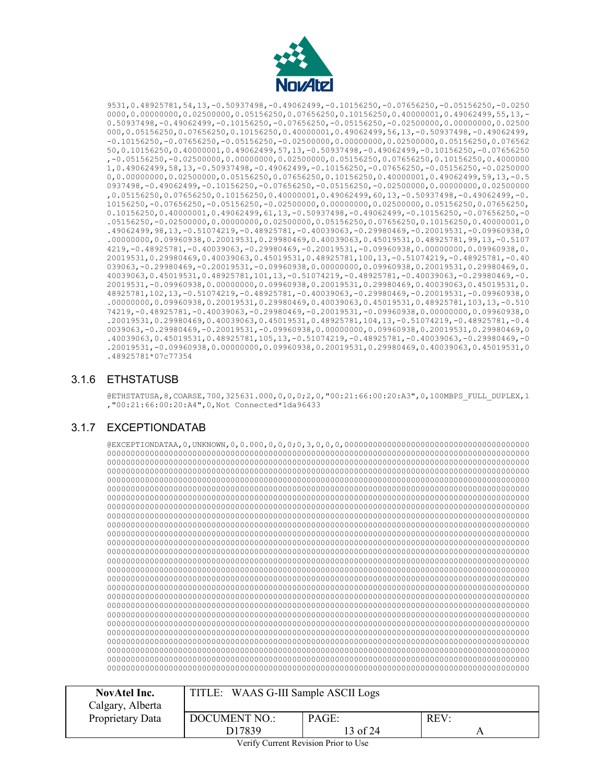

9531,0.48925781,54,13,-0.50937498,-0.49062499,-0.10156250,-0.07656250,-0.05156250,-0.0250 0000,0.00000000,0.02500000,0.05156250,0.07656250,0.10156250,0.40000001,0.49062499,55,13,-0.50937498,-0.49062499,-0.10156250,-0.07656250,-0.05156250,-0.02500000,0.00000000,0.02500 000,0.05156250,0.07656250,0.10156250,0.40000001,0.49062499,56,13,-0.50937498,-0.49062499, -0.10156250,-0.07656250,-0.05156250,-0.02500000,0.00000000,0.02500000,0.05156250,0.076562 50,0.10156250,0.40000001,0.49062499,57,13,-0.50937498,-0.49062499,-0.10156250,-0.07656250 ,-0.05156250,-0.02500000,0.00000000,0.02500000,0.05156250,0.07656250,0.10156250,0.4000000 1,0.49062499,58,13,-0.50937498,-0.49062499,-0.10156250,-0.07656250,-0.05156250,-0.0250000 0,0.00000000,0.02500000,0.05156250,0.07656250,0.10156250,0.40000001,0.49062499,59,13,-0.5 0937498,-0.49062499,-0.10156250,-0.07656250,-0.05156250,-0.02500000,0.00000000,0.02500000 ,0.05156250,0.07656250,0.10156250,0.40000001,0.49062499,60,13,-0.50937498,-0.49062499,-0. 10156250,-0.07656250,-0.05156250,-0.02500000,0.00000000,0.02500000,0.05156250,0.07656250, 0.10156250,0.40000001,0.49062499,61,13,-0.50937498,-0.49062499,-0.10156250,-0.07656250,-0 .05156250,-0.02500000,0.00000000,0.02500000,0.05156250,0.07656250,0.10156250,0.40000001,0 .49062499,98,13,-0.51074219,-0.48925781,-0.40039063,-0.29980469,-0.20019531,-0.09960938,0 .00000000,0.09960938,0.20019531,0.29980469,0.40039063,0.45019531,0.48925781,99,13,-0.5107 4219,-0.48925781,-0.40039063,-0.29980469,-0.20019531,-0.09960938,0.00000000,0.09960938,0. 20019531,0.29980469,0.40039063,0.45019531,0.48925781,100,13,-0.51074219,-0.48925781,-0.40 039063,-0.29980469,-0.20019531,-0.09960938,0.00000000,0.09960938,0.20019531,0.29980469,0. 40039063,0.45019531,0.48925781,101,13,-0.51074219,-0.48925781,-0.40039063,-0.29980469,-0. 20019531,-0.09960938,0.00000000,0.09960938,0.20019531,0.29980469,0.40039063,0.45019531,0. 48925781,102,13,-0.51074219,-0.48925781,-0.40039063,-0.29980469,-0.20019531,-0.09960938,0 .00000000,0.09960938,0.20019531,0.29980469,0.40039063,0.45019531,0.48925781,103,13,-0.510 74219,-0.48925781,-0.40039063,-0.29980469,-0.20019531,-0.09960938,0.00000000,0.09960938,0 .20019531,0.29980469,0.40039063,0.45019531,0.48925781,104,13,-0.51074219,-0.48925781,-0.4 0039063,-0.29980469,-0.20019531,-0.09960938,0.00000000,0.09960938,0.20019531,0.29980469,0 .40039063,0.45019531,0.48925781,105,13,-0.51074219,-0.48925781,-0.40039063,-0.29980469,-0 .20019531,-0.09960938,0.00000000,0.09960938,0.20019531,0.29980469,0.40039063,0.45019531,0 .48925781\*07c77354

#### <span id="page-12-0"></span>3.1.6 ETHSTATUSB

@ETHSTATUSA,8,COARSE,700,325631.000,0,0,0;2,0,"00:21:66:00:20:A3",0,100MBPS\_FULL\_DUPLEX,1 ,"00:21:66:00:20:A4",0,Not Connected\*1da96433

## <span id="page-12-1"></span>3.1.7 EXCEPTIONDATAB

@EXCEPTIONDATAA,0,UNKNOWN,0,0.000,0,0,0;0,3,0,0,0,000000000000000000000000000000000000000 00000000000000000000000000000000000000000000000000000000000000000000000000000000000000000 00000000000000000000000000000000000000000000000000000000000000000000000000000000000000000 00000000000000000000000000000000000000000000000000000000000000000000000000000000000000000 00000000000000000000000000000000000000000000000000000000000000000000000000000000000000000 00000000000000000000000000000000000000000000000000000000000000000000000000000000000000000 00000000000000000000000000000000000000000000000000000000000000000000000000000000000000000 00000000000000000000000000000000000000000000000000000000000000000000000000000000000000000 00000000000000000000000000000000000000000000000000000000000000000000000000000000000000000 00000000000000000000000000000000000000000000000000000000000000000000000000000000000000000 00000000000000000000000000000000000000000000000000000000000000000000000000000000000000000 00000000000000000000000000000000000000000000000000000000000000000000000000000000000000000 00000000000000000000000000000000000000000000000000000000000000000000000000000000000000000 00000000000000000000000000000000000000000000000000000000000000000000000000000000000000000 00000000000000000000000000000000000000000000000000000000000000000000000000000000000000000 00000000000000000000000000000000000000000000000000000000000000000000000000000000000000000 00000000000000000000000000000000000000000000000000000000000000000000000000000000000000000 00000000000000000000000000000000000000000000000000000000000000000000000000000000000000000 00000000000000000000000000000000000000000000000000000000000000000000000000000000000000000 00000000000000000000000000000000000000000000000000000000000000000000000000000000000000000 00000000000000000000000000000000000000000000000000000000000000000000000000000000000000000 00000000000000000000000000000000000000000000000000000000000000000000000000000000000000000 00000000000000000000000000000000000000000000000000000000000000000000000000000000000000000 00000000000000000000000000000000000000000000000000000000000000000000000000000000000000000 00000000000000000000000000000000000000000000000000000000000000000000000000000000000000000 00000000000000000000000000000000000000000000000000000000000000000000000000000000000000000

| <b>NovAtel Inc.</b><br>Calgary, Alberta | TITLE: WAAS G-III Sample ASCII Logs |                   |         |
|-----------------------------------------|-------------------------------------|-------------------|---------|
| Proprietary Data                        | <b>DOCUMENT NO.:</b><br>D17839      | PAGE:<br>13 of 24 | $REV$ : |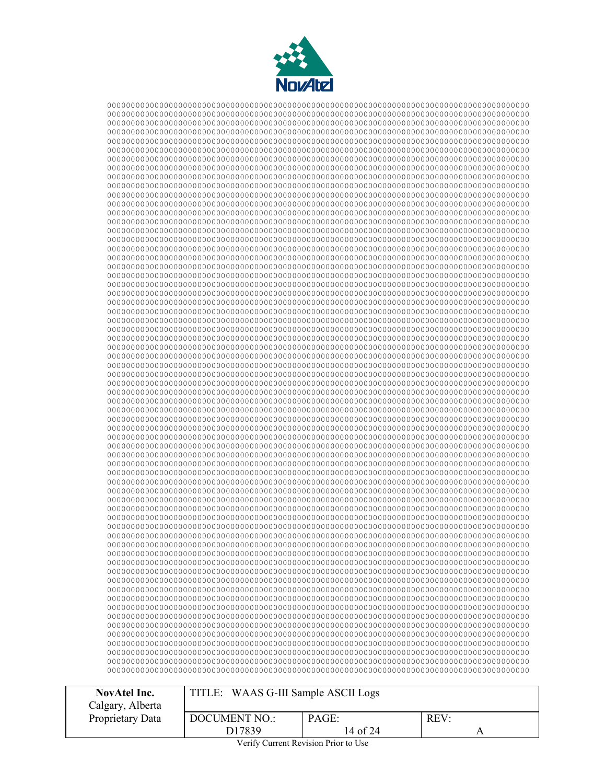

| <b>NovAtel Inc.</b> | TITLE: WAAS G-III Sample ASCII Logs |          |  |
|---------------------|-------------------------------------|----------|--|
| Calgary, Alberta    |                                     |          |  |
| Proprietary Data    | PAGE:<br>$REV$ :<br>DOCUMENT NO.:   |          |  |
|                     | D17839                              | 14 of 24 |  |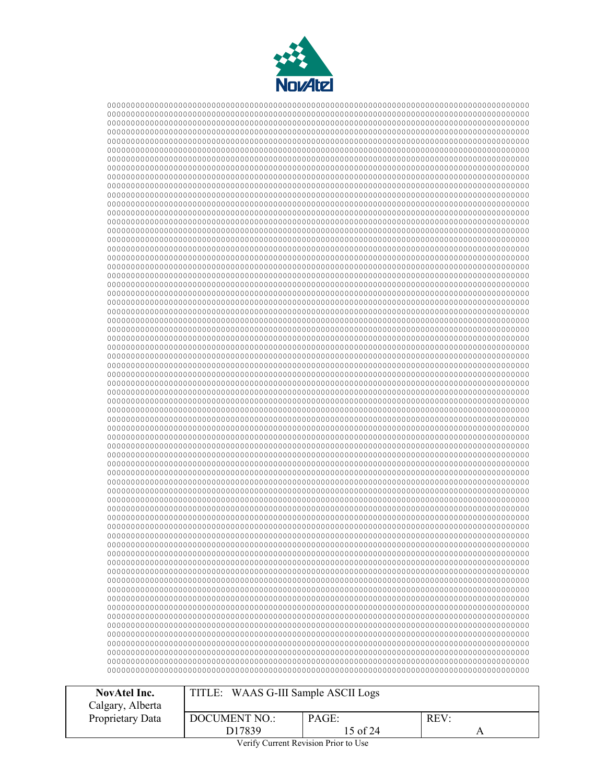

| <b>NovAtel Inc.</b> | TITLE: WAAS G-III Sample ASCII Logs |          |  |
|---------------------|-------------------------------------|----------|--|
| Calgary, Alberta    |                                     |          |  |
| Proprietary Data    | PAGE:<br>REV:<br>DOCUMENT NO.:      |          |  |
|                     | D17839                              | 15 of 24 |  |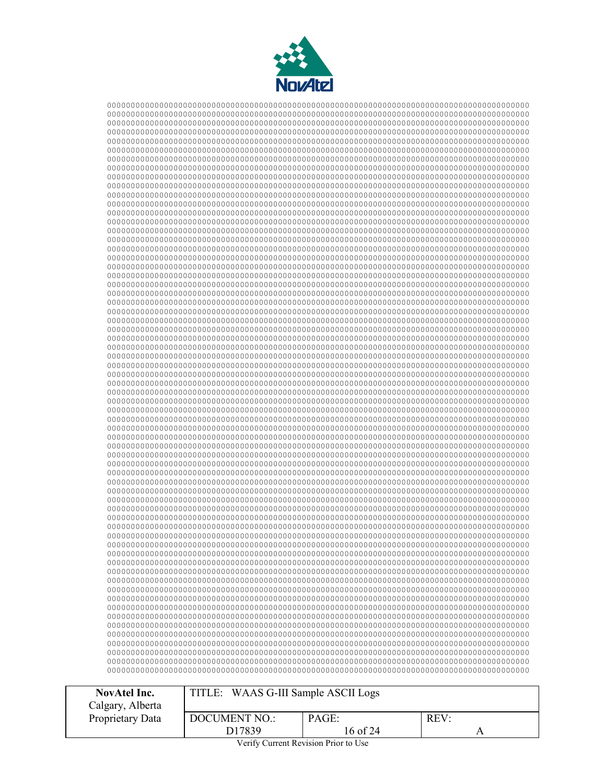

| <b>NovAtel Inc.</b> | TITLE: WAAS G-III Sample ASCII Logs |          |  |
|---------------------|-------------------------------------|----------|--|
| Calgary, Alberta    |                                     |          |  |
| Proprietary Data    | PAGE:<br>REV<br>DOCUMENT NO.:       |          |  |
|                     | D17839                              | 16 of 24 |  |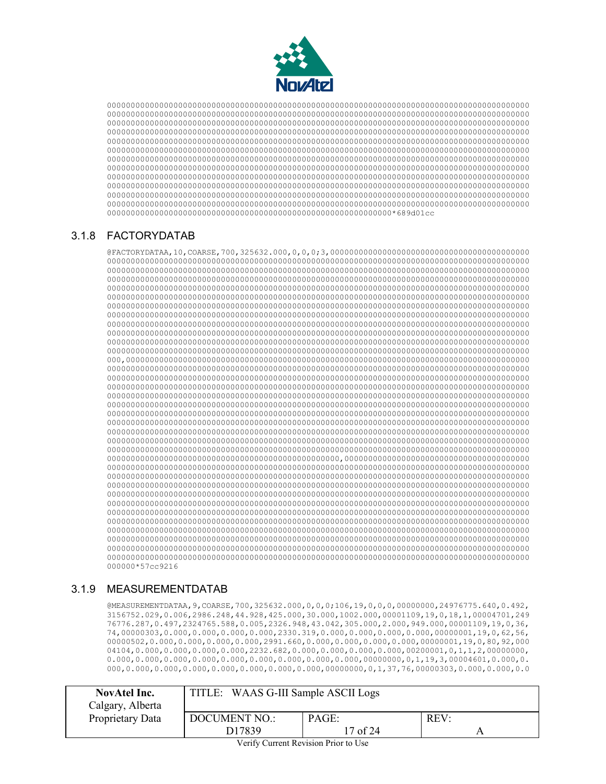

 000000000000000000000000000000000000000000000000000000000000\*689d01cc

# <span id="page-16-0"></span>3.1.8 FACTORYDATAB

@FACTORYDATAA,10,COARSE,700,325632.000,0,0,0;3,000000000000000000000000000000000000000000 000,0000000000000000000000000000000000000000000000000000000000000000000000000000000000000 0000000000000000000000000000000000000000000000000,000000000000000000000000000000000000000 000000\*57cc9216

# <span id="page-16-1"></span>3.1.9 MEASUREMENTDATAB

@MEASUREMENTDATAA,9,COARSE,700,325632.000,0,0,0;106,19,0,0,0,00000000,24976775.640,0.492, 3156752.029,0.006,2986.248,44.928,425.000,30.000,1002.000,00001109,19,0,18,1,00004701,249 76776.287,0.497,2324765.588,0.005,2326.948,43.042,305.000,2.000,949.000,00001109,19,0,36, 74,00000303,0.000,0.000,0.000,0.000,2330.319,0.000,0.000,0.000,0.000,00000001,19,0,62,56, 00000502,0.000,0.000,0.000,0.000,2991.660,0.000,0.000,0.000,0.000,00000001,19,0,80,92,000 04104,0.000,0.000,0.000,0.000,2232.682,0.000,0.000,0.000,0.000,00200001,0,1,1,2,00000000,  $0.000,0.000,0.000,0.000,0.000,0.000,0.000,0.000,0.000,0.000,0.000,0.000,0.1,19,3,00004601,0.000,0.$ 000,0.000,0.000,0.000,0.000,0.000,0.000,0.000,00000000,0,1,37,76,00000303,0.000,0.000,0.0

| <b>NovAtel Inc.</b><br>Calgary, Alberta | TITLE: WAAS G-III Sample ASCII Logs   |          |  |
|-----------------------------------------|---------------------------------------|----------|--|
| Proprietary Data                        | PAGE:<br><b>DOCUMENT NO.:</b><br>REV: |          |  |
|                                         | D17839                                | 17 of 24 |  |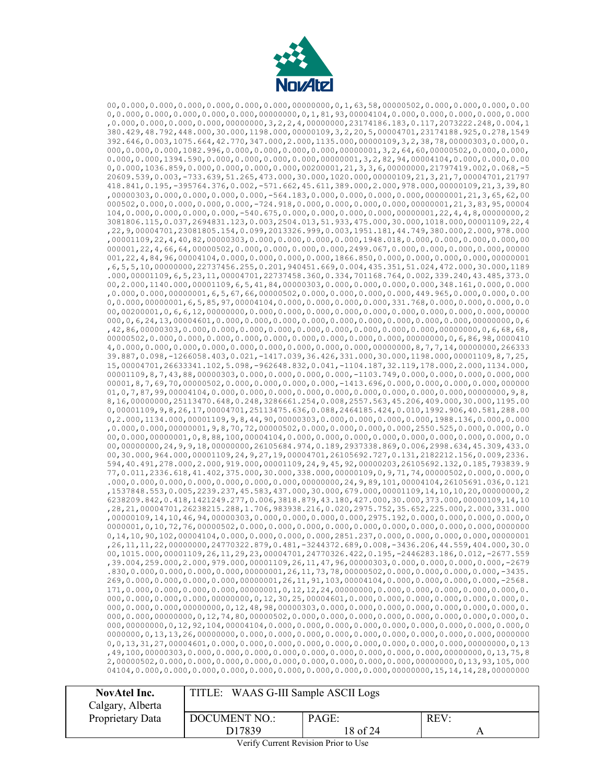

00,0.000,0.000,0.000,0.000,0.000,0.000,00000000,0,1,63,58,00000502,0.000,0.000,0.000,0.00 0,0.000,0.000,0.000,0.000,0.000,0000000,0,1,81,93,00004104,0.000,0.000,0.000,0.000,0.000 ,0.000,0.000,0.000,0.000,00000000,3,2,2,4,00000000,23174186.183,0.117,2073222.248,0.004,1 380.429,48.792,448.000,30.000,1198.000,00000109,3,2,20,5,00004701,23174188.925,0.278,1549 392.646,0.003,1075.664,42.770,347.000,2.000,1135.000,00000109,3,2,38,78,00000303,0.000,0. 000,0.000,0.000,1082.996,0.000,0.000,0.000,0.000,00000001,3,2,64,60,00000502,0.000,0.000, 0.000,0.000,1394.590,0.000,0.000,0.000,0.000,00000001,3,2,82,94,00004104,0.000,0.000,0.00 0,0.000,1036.859,0.000,0.000,0.000,0.000,00200001,21,3,3,6,00000000,21797419.002,0.068,-5 20609.539,0.003,-733.639,51.265,473.000,30.000,1020.000,00000109,21,3,21,7,00004701,21797 418.841,0.195,-395764.376,0.002,-571.662,45.611,389.000,2.000,978.000,00000109,21,3,39,80 ,00000303,0.000,0.000,0.000,0.000,-564.183,0.000,0.000,0.000,0.000,00000001,21,3,65,62,00 000502,0.000,0.000,0.000,0.000,-724.918,0.000,0.000,0.000,0.000,00000001,21,3,83,95,00004 104,0.000,0.000,0.000,0.000,-540.675,0.000,0.000,0.000,0.000,00000001,22,4,4,8,00000000,2 3081806.115,0.037,2694831.123,0.003,2504.013,51.933,475.000,30.000,1018.000,00001109,22,4 ,22,9,00004701,23081805.154,0.099,2013326.999,0.003,1951.181,44.749,380.000,2.000,978.000 ,00001109,22,4,40,82,00000303,0.000,0.000,0.000,0.000,1948.018,0.000,0.000,0.000,0.000,00 000001,22,4,66,64,00000502,0.000,0.000,0.000,0.000,2499.067,0.000,0.000,0.000,0.000,00000 001,22,4,84,96,00004104,0.000,0.000,0.000,0.000,1866.850,0.000,0.000,0.000,0.000,00000001 ,6,5,5,10,00000000,22737456.255,0.201,940451.669,0.004,435.351,51.024,472.000,30.000,1189 .000,00001109,6,5,23,11,00004701,22737458.360,0.334,701168.764,0.002,339.240,43.485,373.0 00,2.000,1140.000,00001109,6,5,41,84,00000303,0.000,0.000,0.000,0.000,348.161,0.000,0.000 ,0.000,0.000,00000001,6,5,67,66,00000502,0.000,0.000,0.000,0.000,449.965,0.000,0.000,0.00 0,0.000,00000001,6,5,85,97,00004104,0.000,0.000,0.000,0.000,331.768,0.000,0.000,0.000,0.000,0.000,0.000,0.000 00,00200001,0,6,6,12,00000000,0.000,0.000,0.000,0.000,0.000,0.000,0.000,0.000,0.00000 000,0,6,24,13,00004601,0.000,0.000,0.000,0.000,0.000,0.000,0.000,0.000,0.000,00000000,0,6 ,42,86,00000303,0.000,0.000,0.000,0.000,0.000,0.000,0.000,0.000,0.000,00000000,0,6,68,68, 00000502,0.000,0.000,0.000,0.000,0.000,0.000,0.000,0.000,0.000,00000000,0,6,86,98,0000410 4,0.000,0.000,0.000,0.000,0.000,0.000,0.000,0.000,0.000,00000000,8,7,7,14,00000000,266333 39.887,0.098,-1266058.403,0.021,-1417.039,36.426,331.000,30.000,1198.000,00001109,8,7,25, 15,00004701,26633341.102,5.098,-962648.832,0.041,-1104.187,32.119,178.000,2.000,1134.000, 00001109,8,7,43,88,00000303,0.000,0.000,0.000,0.000,-1103.749,0.000,0.000,0.000,0.000,0.000 00001,8,7,69,70,00000502,0.000,0.000,0.000,0.000,-1413.696,0.000,0.000,0.000,0.000,000000 01,0,7,87,99,00004104,0.000,0.000,0.000,0.000,0.000,0.000,0.000,0.000,0.000,00000000,9,8, 8,16,00000000,25113470.648,0.248,3286661.254,0.008,2557.563,45.206,409.000,30.000,1195.00 0,00001109,9,8,26,17,00004701,25113475.636,0.088,2464185.424,0.010,1992.906,40.581,288.00 0,2.000,1134.000,00001109,9,8,44,90,00000303,0.000,0.000,0.000,0.000,1988.136,0.000,0.000 ,0.000,0.000,00000001,9,8,70,72,00000502,0.000,0.000,0.000,0.000,2550.525,0.000,0.000,0.0 00,0.000,00000001,0,8,88,100,00004104,0.000,0.000,0.000,0.000,0.000,0.000,0.000,0.000,0.0 00,00000000,24,9,9,18,00000000,26105684.974,0.189,2937338.869,0.006,2998.634,45.309,433.0 00,30.000,964.000,00001109,24,9,27,19,00004701,26105692.727,0.131,2182212.156,0.009,2336. 594,40.491,278.000,2.000,919.000,00001109,24,9,45,92,00000203,26105692.132,0.185,793839.9 77,0.011,2336.618,41.402,375.000,30.000,338.000,00000109,0,9,71,74,00000502,0.000,0.000,0 .000,0.000,0.000,0.000,0.000,0.000,0.000,00000000,24,9,89,101,00004104,26105691.036,0.121 ,1537848.553,0.005,2239.237,45.583,437.000,30.000,679.000,00001109,14,10,10,20,00000000,2 6238209.842,0.418,1421249.277,0.006,3818.879,43.180,427.000,30.000,373.000,00000109,14,10 ,28,21,00004701,26238215.288,1.706,983938.216,0.020,2975.752,35.652,225.000,2.000,331.000 ,00000109,14,10,46,94,00000303,0.000,0.000,0.000,0.000,2975.192,0.000,0.000,0.000,0.000,0 0000001,0,10,72,76,00000502,0.000,0.000,0.000,0.000,0.000,0.000,0.000,0.000,0.000,0000000 0,14,10,90,102,00004104,0.000,0.000,0.000,0.000,2851.237,0.000,0.000,0.000,0.000,00000001 ,26,11,11,22,00000000,24770322.879,0.481,-3244372.689,0.008,-3436.206,44.559,404.000,30.0 00,1015.000,00001109,26,11,29,23,00004701,24770326.422,0.195,-2446283.186,0.012,-2677.559 ,39.004,259.000,2.000,979.000,00001109,26,11,47,96,00000303,0.000,0.000,0.000,0.000,-2679 .830,0.000,0.000,0.000,0.000,00000001,26,11,73,78,00000502,0.000,0.000,0.000,0.000,-3435. 269,0.000,0.000,0.000,0.000,00000001,26,11,91,103,00004104,0.000,0.000,0.000,0.000,-2568. 171,0.000,0.000,0.000,0.000,00000001,0,12,12,24,00000000,0.000,0.000,0.000,0.000,0.000,0. 000,0.000,0.000,0.000,00000000,0,12,30,25,00004601,0.000,0.000,0.000,0.000,0.000,0.000,0. 000,0.000,0.000,00000000,0,12,48,98,00000303,0.000,0.000,0.000,0.000,0.000,0.000,0.000,0. 000,0.000,00000000,0,12,74,80,00000502,0.000,0.000,0.000,0.000,0.000,0.000,0.000,0.000,0. 000,0000000,0,12,92,104,00004104,0.000,0.000,0.000,0.000,0.000,0.000,0.000,0.000,0.000,0 0000000,0,13,13,26,00000000,0.000,0.000,0.000,0.000,0.000,0.000,0.000,0.000,0.000,0000000 0,0,13,31,27,00004601,0.000,0.000,0.000,0.000,0.000,0.000,0.000,0.000,0.000,00000000,0,13 ,49,100,00000303,0.000,0.000,0.000,0.000,0.000,0.000,0.000,0.000,0.000,00000000,0,13,75,8 2,00000502,0.000,0.000,0.000,0.000,0.000,0.000,0.000,0.000,0.000,00000000,0,13,93,105,000 04104,0.000,0.000,0.000,0.000,0.000,0.000,0.000,0.000,0.000,00000000,15,14,14,28,00000000

| NovAtel Inc.<br>Calgary, Alberta | TITLE: WAAS G-III Sample ASCII Logs |          |      |
|----------------------------------|-------------------------------------|----------|------|
| Proprietary Data                 | DOCUMENT NO.:                       | PAGE:    | REV: |
|                                  | D17839                              | 18 of 24 |      |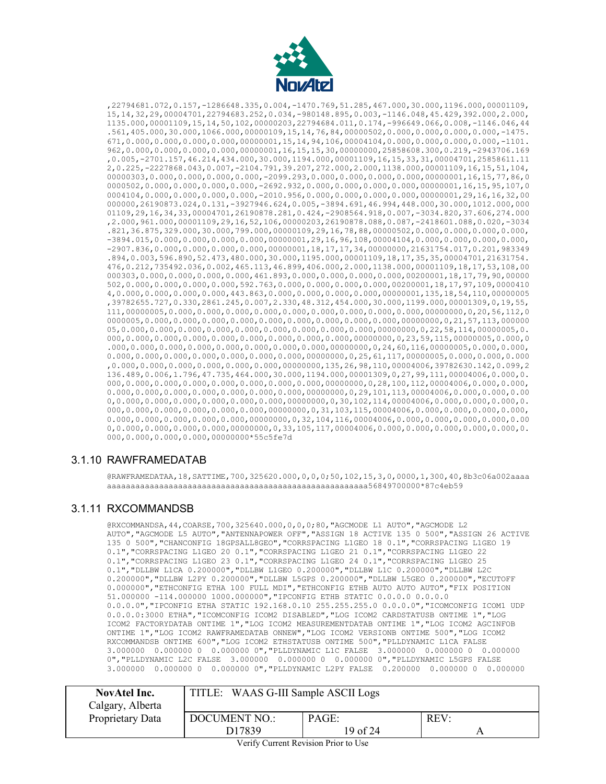

,22794681.072,0.157,-1286648.335,0.004,-1470.769,51.285,467.000,30.000,1196.000,00001109, 15,14,32,29,00004701,22794683.252,0.034,-980148.895,0.003,-1146.048,45.429,392.000,2.000, 1135.000,00001109,15,14,50,102,00000203,22794684.011,0.174,-996649.066,0.008,-1146.046,44 .561,405.000,30.000,1066.000,00000109,15,14,76,84,00000502,0.000,0.000,0.000,0.000,-1475. 671,0.000,0.000,0.000,0.000,00000001,15,14,94,106,00004104,0.000,0.000,0.000,0.000,-1101. 962,0.000,0.000,0.000,0.000,00000001,16,15,15,30,00000000,25858608.300,0.219,-2943706.169 ,0.005,-2701.157,46.214,434.000,30.000,1194.000,00001109,16,15,33,31,00004701,25858611.11 2,0.225,-2227868.043,0.007,-2104.791,39.207,272.000,2.000,1138.000,00001109,16,15,51,104, 00000303,0.000,0.000,0.000,0.000,-2099.293,0.000,0.000,0.000,0.000,00000001,16,15,77,86,0 0000502,0.000,0.000,0.000,0.000,-2692.932,0.000,0.000,0.000,0.000,00000001,16,15,95,107,0 0004104,0.000,0.000,0.000,0.000,-2010.956,0.000,0.000,0.000,0.000,00000001,29,16,16,32,00 000000,26190873.024,0.131,-3927946.624,0.005,-3894.691,46.994,448.000,30.000,1012.000,000 01109,29,16,34,33,00004701,26190878.281,0.424,-2908564.918,0.007,-3034.820,37.606,274.000 ,2.000,961.000,00001109,29,16,52,106,00000203,26190878.088,0.087,-2418601.088,0.020,-3034 .821,36.875,329.000,30.000,799.000,00000109,29,16,78,88,00000502,0.000,0.000,0.000,0.000, -3894.015,0.000,0.000,0.000,0.000,00000001,29,16,96,108,00004104,0.000,0.000,0.000,0.000, -2907.836,0.000,0.000,0.000,0.000,00000001,18,17,17,34,00000000,21631754.017,0.201,983349 .894,0.003,596.890,52.473,480.000,30.000,1195.000,00001109,18,17,35,35,00004701,21631754. 476,0.212,735492.036,0.002,465.113,46.899,406.000,2.000,1138.000,00001109,18,17,53,108,00 000303,0.000,0.000,0.000,0.000,461.893,0.000,0.000,0.000,0.000,00200001,18,17,79,90,00000 502,0.000,0.000,0.000,0.000,592.763,0.000,0.000,0.000,0.000,00200001,18,17,97,109,0000410 4,0.000,0.000,0.000,0.000,443.863,0.000,0.000,0.000,0.000,00000001,135,18,54,110,00000005 ,39782655.727,0.330,2861.245,0.007,2.330,48.312,454.000,30.000,1199.000,00001309,0,19,55, 111,00000005,0.000,0.000,0.000,0.000,0.000,0.000,0.000,0.000,0.000,00000000,0,20,56,112,0 0000005,0.000,0.000,0.000,0.000,0.000,0.000,0.000,0.000,0.000,00000000,0,21,57,113,000000 05,0.000,0.000,0.000,0.000,0.000,0.000,0.000,0.000,0.000,00000000,0,22,58,114,00000005,0. 000,0.000,0.000,0.000,0.000,0.000,0.000,0.000,0.000,00000000,0,23,59,115,00000005,0.000,0 .000,0.000,0.000,0.000,0.000,0.000,0.000,0.000,00000000,0,24,60,116,00000005,0.000,0.000, 0.000,0.000,0.000,0.000,0.000,0.000,0.000,00000000,0,25,61,117,00000005,0.000,0.000,0.000 ,0.000,0.000,0.000,0.000,0.000,0.000,00000000,135,26,98,110,00004006,39782630.142,0.099,2 136.489,0.006,1.796,47.735,464.000,30.000,1194.000,00001309,0,27,99,111,00004006,0.000,0. 000,0.000,0.000,0.000,0.000,0.000,0.000,0.000,00000000,0,28,100,112,00004006,0.000,0.000,  $0.000, 0.000, 0.000, 0.000, 0.000, 0.000, 0.000, 0.000, 0.000, 0.000, 0.29, 101, 113,00004006, 0.000, 0.000, 0.000, 0.000, 0.000, 0.000, 0.000, 0.000, 0.000, 0.000, 0.000, 0.000, 0.000, 0.000, 0.000, 0.000, 0.000, 0.000,$ 0,0.000,0.000,0.000,0.000,0.000,0.000,00000000,0,30,102,114,00004006,0.000,0.000,0.000,0. 000,0.000,0.000,0.000,0.000,0.000,00000000,0,31,103,115,00004006,0.000,0.000,0.000,0.000,  $0.000, 0.000, 0.000, 0.000, 0.000, 0.000, 0.000, 0.0000, 0.32, 104, 116, 00004006, 0.000, 0.000, 0.000, 0.000, 0.000, 0.000, 0.000, 0.000, 0.000, 0.000, 0.000, 0.000, 0.000, 0.000, 0.000, 0.000, 0.000, 0.000, 0.000, 0.00$ 0,0.000,0.000,0.000,0.000,00000000,0,33,105,117,00004006,0.000,0.000,0.000,0.000,0.000,0. 000,0.000,0.000,0.000,00000000\*55c5fe7d

#### <span id="page-18-0"></span>3.1.10 RAWFRAMEDATAB

@RAWFRAMEDATAA,18,SATTIME,700,325620.000,0,0,0;50,102,15,3,0,0000,1,300,40,8b3c06a002aaaa aaaaaaaaaaaaaaaaaaaaaaaaaaaaaaaaaaaaaaaaaaaaaaaaaaaaaaa56849700000\*87c4eb59

#### <span id="page-18-1"></span>3.1.11 RXCOMMANDSB

@RXCOMMANDSA,44,COARSE,700,325640.000,0,0,0;80,"AGCMODE L1 AUTO","AGCMODE L2 AUTO","AGCMODE L5 AUTO","ANTENNAPOWER OFF","ASSIGN 18 ACTIVE 135 0 500","ASSIGN 26 ACTIVE 135 0 500","CHANCONFIG 18GPSALL8GEO","CORRSPACING L1GEO 18 0.1","CORRSPACING L1GEO 19 0.1","CORRSPACING L1GEO 20 0.1","CORRSPACING L1GEO 21 0.1","CORRSPACING L1GEO 22 0.1","CORRSPACING L1GEO 23 0.1","CORRSPACING L1GEO 24 0.1","CORRSPACING L1GEO 25 0.1","DLLBW L1CA 0.200000","DLLBW L1GEO 0.200000","DLLBW L1C 0.200000","DLLBW L2C 0.200000","DLLBW L2PY 0.200000","DLLBW L5GPS 0.200000","DLLBW L5GEO 0.200000","ECUTOFF 0.000000","ETHCONFIG ETHA 100 FULL MDI","ETHCONFIG ETHB AUTO AUTO AUTO","FIX POSITION 51.000000 -114.000000 1000.000000","IPCONFIG ETHB STATIC 0.0.0.0 0.0.0.0 0.0.0.0","IPCONFIG ETHA STATIC 192.168.0.10 255.255.255.0 0.0.0.0","ICOMCONFIG ICOM1 UDP 0.0.0.0:3000 ETHA","ICOMCONFIG ICOM2 DISABLED","LOG ICOM2 CARDSTATUSB ONTIME 1","LOG ICOM2 FACTORYDATAB ONTIME 1","LOG ICOM2 MEASUREMENTDATAB ONTIME 1","LOG ICOM2 AGCINFOB ONTIME 1","LOG ICOM2 RAWFRAMEDATAB ONNEW","LOG ICOM2 VERSIONB ONTIME 500","LOG ICOM2 RXCOMMANDSB ONTIME 600","LOG ICOM2 ETHSTATUSB ONTIME 500","PLLDYNAMIC L1CA FALSE 3.000000 0.000000 0 0.000000 0","PLLDYNAMIC L1C FALSE 3.000000 0.000000 0 0.000000 0","PLLDYNAMIC L2C FALSE 3.000000 0.000000 0 0.000000 0","PLLDYNAMIC L5GPS FALSE 3.000000 0.000000 0 0.000000 0","PLLDYNAMIC L2PY FALSE 0.200000 0.000000 0 0.000000

| TITLE: WAAS G-III Sample ASCII Logs<br><b>NovAtel Inc.</b><br>Calgary, Alberta |                                |                   |      |
|--------------------------------------------------------------------------------|--------------------------------|-------------------|------|
| Proprietary Data                                                               | <b>DOCUMENT NO.:</b><br>D17839 | PAGE:<br>19 of 24 | REV: |

Verify Current Revision Prior to Use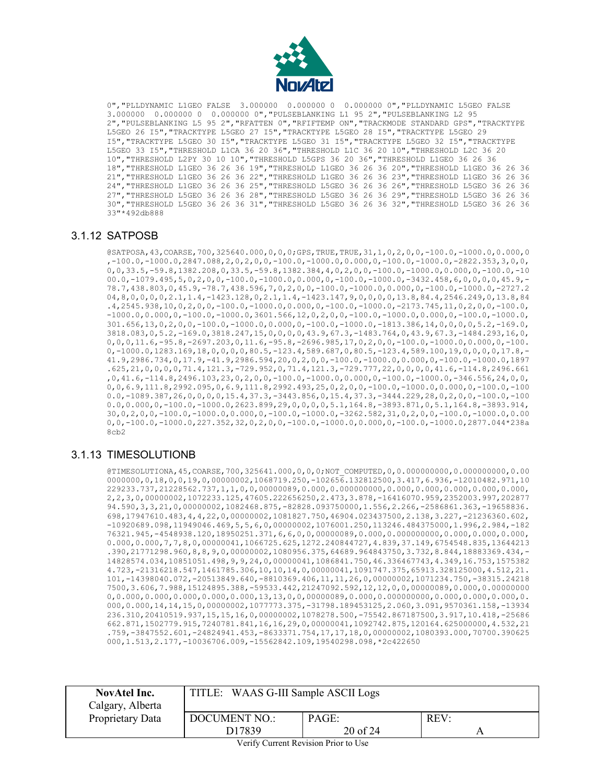

0","PLLDYNAMIC L1GEO FALSE 3.000000 0.000000 0 0.000000 0","PLLDYNAMIC L5GEO FALSE 3.000000 0.000000 0 0.000000 0","PULSEBLANKING L1 95 2","PULSEBLANKING L2 95 2","PULSEBLANKING L5 95 2","RFATTEN 0","RFIFTEMP ON","TRACKMODE STANDARD GPS","TRACKTYPE L5GEO 26 I5","TRACKTYPE L5GEO 27 I5","TRACKTYPE L5GEO 28 I5","TRACKTYPE L5GEO 29 I5","TRACKTYPE L5GEO 30 I5","TRACKTYPE L5GEO 31 I5","TRACKTYPE L5GEO 32 I5","TRACKTYPE L5GEO 33 I5","THRESHOLD L1CA 36 20 36","THRESHOLD L1C 36 20 10","THRESHOLD L2C 36 20 10","THRESHOLD L2PY 30 10 10","THRESHOLD L5GPS 36 20 36","THRESHOLD L1GEO 36 26 36 18","THRESHOLD L1GEO 36 26 36 19","THRESHOLD L1GEO 36 26 36 20","THRESHOLD L1GEO 36 26 36 21","THRESHOLD L1GEO 36 26 36 22","THRESHOLD L1GEO 36 26 36 23","THRESHOLD L1GEO 36 26 36 24","THRESHOLD L1GEO 36 26 36 25","THRESHOLD L5GEO 36 26 36 26","THRESHOLD L5GEO 36 26 36 27","THRESHOLD L5GEO 36 26 36 28","THRESHOLD L5GEO 36 26 36 29","THRESHOLD L5GEO 36 26 36 30","THRESHOLD L5GEO 36 26 36 31","THRESHOLD L5GEO 36 26 36 32","THRESHOLD L5GEO 36 26 36 33"\*492db888

#### <span id="page-19-0"></span>3.1.12 SATPOSB

@SATPOSA,43,COARSE,700,325640.000,0,0,0;GPS,TRUE,TRUE,31,1,0,2,0,0,-100.0,-1000.0,0.000,0 ,-100.0,-1000.0,2847.088,2,0,2,0,0,-100.0,-1000.0,0.000,0,-100.0,-1000.0,-2822.353,3,0,0, 0,0,33.5,-59.8,1382.208,0,33.5,-59.8,1382.384,4,0,2,0,0,-100.0,-1000.0,0.000,0,-100.0,-10 00.0,-1079.495,5,0,2,0,0,-100.0,-1000.0,0.000,0,-100.0,-1000.0,-3432.458,6,0,0,0,0,45.9,-78.7,438.803,0,45.9,-78.7,438.596,7,0,2,0,0,-100.0,-1000.0,0.000,0,-100.0,-1000.0,-2727.2 04,8,0,0,0,0,2.1,1.4,-1423.128,0,2.1,1.4,-1423.147,9,0,0,0,0,13.8,84.4,2546.249,0,13.8,84 .4,2545.938,10,0,2,0,0,-100.0,-1000.0,0.000,0,-100.0,-1000.0,-2173.745,11,0,2,0,0,-100.0, -1000.0,0.000,0,-100.0,-1000.0,3601.566,12,0,2,0,0,-100.0,-1000.0,0.000,0,-100.0,-1000.0, 301.656,13,0,2,0,0,-100.0,-1000.0,0.000,0,-100.0,-1000.0,-1813.386,14,0,0,0,0,5.2,-169.0, 3818.083,0,5.2,-169.0,3818.247,15,0,0,0,0,43.9,67.3,-1483.764,0,43.9,67.3,-1484.293,16,0, 0,0,0,11.6,-95.8,-2697.203,0,11.6,-95.8,-2696.985,17,0,2,0,0,-100.0,-1000.0,0.000,0,-100. 0,-1000.0,1283.169,18,0,0,0,0,80.5,-123.4,589.687,0,80.5,-123.4,589.100,19,0,0,0,0,17.8,- 41.9,2986.734,0,17.9,-41.9,2986.594,20,0,2,0,0,-100.0,-1000.0,0.000,0,-100.0,-1000.0,1897 .625,21,0,0,0,0,71.4,121.3,-729.952,0,71.4,121.3,-729.777,22,0,0,0,0,41.6,-114.8,2496.661 ,0,41.6,-114.8,2496.103,23,0,2,0,0,-100.0,-1000.0,0.000,0,-100.0,-1000.0,-346.556,24,0,0, 0,0,6.9,111.8,2992.095,0,6.9,111.8,2992.493,25,0,2,0,0,-100.0,-1000.0,0.000,0,-100.0,-100 0.0,-1089.387,26,0,0,0,0,15.4,37.3,-3443.856,0,15.4,37.3,-3444.229,28,0,2,0,0,-100.0,-100 0.0,0.000,0,-100.0,-1000.0,2623.899,29,0,0,0,0,5.1,164.8,-3893.871,0,5.1,164.8,-3893.914, 30,0,2,0,0,-100.0,-1000.0,0.000,0,-100.0,-1000.0,-3262.582,31,0,2,0,0,-100.0,-1000.0,0.00 0,0,-100.0,-1000.0,227.352,32,0,2,0,0,-100.0,-1000.0,0.000,0,-100.0,-1000.0,2877.044\*238a 8cb2

## <span id="page-19-1"></span>3.1.13 TIMESOLUTIONB

@TIMESOLUTIONA,45,COARSE,700,325641.000,0,0,0;NOT\_COMPUTED,0,0.000000000,0.000000000,0.00 0000000,0,18,0,0,19,0,00000002,1068719.250,-102656.132812500,3.417,6.936,-12010482.971,10 229233.737,21228562.737,1,1,0,0,00000089,0.000,0.000000000,0.000,0.000,0.000,0.000,0.000, 2,2,3,0,00000002,1072233.125,47605.222656250,2.473,3.878,-16416070.959,2352003.997,202877 94.590,3,3,21,0,00000002,1082468.875,-82828.093750000,1.556,2.266,-2586861.363,-19658836. 698,17947610.483,4,4,22,0,00000002,1081827.750,46904.023437500,2.138,3.227,-21236360.602, -10920689.098,11949046.469,5,5,6,0,00000002,1076001.250,113246.484375000,1.996,2.984,-182 76321.945,-4548938.120,18950251.371,6,6,0,0,00000089,0.000,0.000000000,0.000,0.000,0.000, 0.000,0.000,7,7,8,0,00000041,1066725.625,1272.240844727,4.839,37.149,6754548.835,13644213 .390,21771298.960,8,8,9,0,00000002,1080956.375,64689.964843750,3.732,8.844,18883369.434,- 14828574.034,10851051.498,9,9,24,0,00000041,1086841.750,46.336467743,4.349,16.753,1575382 4.723,-21316218.547,1461785.306,10,10,14,0,00000041,1091747.375,65913.328125000,4.512,21. 101,-14398040.072,-20513849.640,-8810369.406,11,11,26,0,00000002,1071234.750,-38315.24218 7500,3.606,7.988,15124895.388,-59533.442,21247092.592,12,12,0,0,00000089,0.000,0.00000000 0,0.000,0.000,0.000,0.000,0.000,13,13,0,0,00000089,0.000,0.00000000,0.000,0.000,0.000,0. 000,0.000,14,14,15,0,00000002,1077773.375,-31798.189453125,2.060,3.091,9570361.158,-13934 236.310,20410519.937,15,15,16,0,00000002,1078278.500,-75542.867187500,3.917,10.418,-25686 662.871,1502779.915,7240781.841,16,16,29,0,00000041,1092742.875,120164.625000000,4.532,21 .759,-3847552.601,-24824941.453,-8633371.754,17,17,18,0,00000002,1080393.000,70700.390625 000,1.513,2.177,-10036706.009,-15562842.109,19540298.098,\*2c422650

| <b>NovAtel Inc.</b><br>Calgary, Alberta | TITLE: WAAS G-III Sample ASCII Logs |                   |     |
|-----------------------------------------|-------------------------------------|-------------------|-----|
| Proprietary Data                        | <b>DOCUMENT NO.:</b><br>D17839      | PAGE:<br>20 of 24 | REV |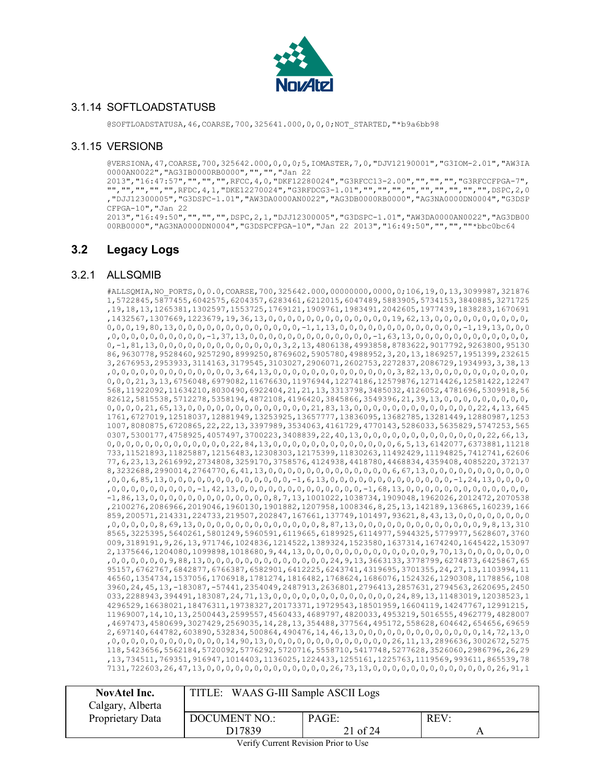

#### <span id="page-20-0"></span>3.1.14 SOFTLOADSTATUSB

@SOFTLOADSTATUSA,46,COARSE,700,325641.000,0,0,0;NOT\_STARTED,"\*b9a6bb98

#### <span id="page-20-1"></span>3.1.15 VERSIONB

@VERSIONA,47,COARSE,700,325642.000,0,0,0;5,IOMASTER,7,0,"DJV12190001","G3IOM-2.01","AW3IA 0000AN0022","AG3IB0000RB0000","","","Jan 22

2013","16:47:57","","","",RFCC,4,0,"DKF12280024","G3RFCC13-2.00","","","","G3RFCCFPGA-7", "","","","","",RFDC,4,1,"DKE12270024","G3RFDCG3-1.01","","","","","","","","","",DSPC,2,0 ,"DJJ12300005","G3DSPC-1.01","AW3DA0000AN0022","AG3DB0000RB0000","AG3NA0000DN0004","G3DSP CFPGA-10","Jan 22

2013","16:49:50","","","",DSPC,2,1,"DJJ12300005","G3DSPC-1.01","AW3DA0000AN0022","AG3DB00 00RB0000","AG3NA0000DN0004","G3DSPCFPGA-10","Jan 22 2013","16:49:50","","",""\*bbc0bc64

# <span id="page-20-2"></span>**3.2 Legacy Logs**

#### <span id="page-20-3"></span>3.2.1 ALLSQMIB

#ALLSQMIA,NO\_PORTS,0,0.0,COARSE,700,325642.000,00000000,0000,0;106,19,0,13,3099987,321876 1,5722845,5877455,6042575,6204357,6283461,6212015,6047489,5883905,5734153,3840885,3271725 ,19,18,13,1265381,1302597,1553725,1769121,1909761,1983491,2042605,1977439,1838283,1670691 ,1432567,1307669,1223679,19,36,13,0,0,0,0,0,0,0,0,0,0,0,0,0,19,62,13,0,0,0,0,0,0,0,0,0,0, 0,0,0,19,80,13,0,0,0,0,0,0,0,0,0,0,0,0,0,-1,1,13,0,0,0,0,0,0,0,0,0,0,0,0,0,-1,19,13,0,0,0 ,0,0,0,0,0,0,0,0,0,0,-1,37,13,0,0,0,0,0,0,0,0,0,0,0,0,0,-1,63,13,0,0,0,0,0,0,0,0,0,0,0,0, 0,-1,81,13,0,0,0,0,0,0,0,0,0,0,0,0,0,3,2,13,4806138,4993858,8783622,9017792,9263800,95130 86,9630778,9528460,9257290,8999250,8769602,5905780,4988952,3,20,13,1869257,1951399,232615 3,2676953,2953933,3114163,3179545,3103027,2906071,2602753,2272837,2086729,1934993,3,38,13 ,0,0,0,0,0,0,0,0,0,0,0,0,0,3,64,13,0,0,0,0,0,0,0,0,0,0,0,0,0,3,82,13,0,0,0,0,0,0,0,0,0,0, 0,0,0,21,3,13,6756048,6979082,11676630,11976944,12274186,12579876,12714426,12581422,12247 568,11922092,11634210,8030490,6922404,21,21,13,3313798,3485032,4126052,4781696,5309918,56 82612,5815538,5712278,5358194,4872108,4196420,3845866,3549396,21,39,13,0,0,0,0,0,0,0,0,0, 0,0,0,0,21,65,13,0,0,0,0,0,0,0,0,0,0,0,0,0,21,83,13,0,0,0,0,0,0,0,0,0,0,0,0,0,22,4,13,645 1761,6727019,12518037,12881949,13253925,13657777,13836095,13682785,13281449,12880987,1253 1007,8080875,6720865,22,22,13,3397989,3534063,4161729,4770143,5286033,5635829,5747253,565 0307,5300177,4758925,4057497,3700223,3408839,22,40,13,0,0,0,0,0,0,0,0,0,0,0,0,0,22,66,13, 0,0,0,0,0,0,0,0,0,0,0,0,0,22,84,13,0,0,0,0,0,0,0,0,0,0,0,0,0,6,5,13,6142077,6373881,11218 733,11521893,11825887,12156483,12308303,12175399,11830263,11492429,11194825,7412741,62606 77,6,23,13,2616992,2734808,3259170,3758576,4124938,4418780,4468834,4359408,4085220,372137 8,3232688,2990014,2764770,6,41,13,0,0,0,0,0,0,0,0,0,0,0,0,0,6,67,13,0,0,0,0,0,0,0,0,0,0,0 ,0,0,6,85,13,0,0,0,0,0,0,0,0,0,0,0,0,0,-1,6,13,0,0,0,0,0,0,0,0,0,0,0,0,0,-1,24,13,0,0,0,0 ,0,0,0,0,0,0,0,0,0,-1,42,13,0,0,0,0,0,0,0,0,0,0,0,0,0,-1,68,13,0,0,0,0,0,0,0,0,0,0,0,0,0, -1,86,13,0,0,0,0,0,0,0,0,0,0,0,0,0,8,7,13,1001022,1038734,1909048,1962026,2012472,2070538 ,2100276,2086966,2019046,1960130,1901882,1207958,1008346,8,25,13,142189,136865,160239,166 859,200571,214331,224733,219507,202847,167661,137749,101497,93621,8,43,13,0,0,0,0,0,0,0,0 ,0,0,0,0,0,8,69,13,0,0,0,0,0,0,0,0,0,0,0,0,0,8,87,13,0,0,0,0,0,0,0,0,0,0,0,0,0,9,8,13,310 8565,3225395,5640261,5801249,5960591,6119665,6189925,6114977,5944325,5779977,5628607,3760 009,3189191,9,26,13,971746,1024836,1214522,1389324,1523580,1637314,1674240,1645422,153097 2,1375646,1204080,1099898,1018680,9,44,13,0,0,0,0,0,0,0,0,0,0,0,0,0,9,70,13,0,0,0,0,0,0,0 ,0,0,0,0,0,0,9,88,13,0,0,0,0,0,0,0,0,0,0,0,0,0,24,9,13,3663133,3778799,6274873,6425867,65 95157,6762767,6842877,6766387,6582901,6412225,6243741,4319695,3701355,24,27,13,1103994,11 46560,1354734,1537056,1706918,1781274,1816482,1768624,1686076,1524326,1290308,1178856,108 3960,24,45,13,-183087,-57441,2354049,2487913,2636801,2796413,2857631,2794563,2620695,2450 033,2288943,394491,183087,24,71,13,0,0,0,0,0,0,0,0,0,0,0,0,0,24,89,13,11483019,12038523,1 4296529,16638021,18476311,19738327,20173371,19729543,18501959,16604119,14247767,12991215, 11969007,14,10,13,2500443,2599557,4560433,4689797,4820033,4953219,5016555,4962779,4828007 ,4697473,4580699,3027429,2569035,14,28,13,354488,377564,495172,558628,604642,654656,69659 2,697140,644782,603890,532834,500864,490476,14,46,13,0,0,0,0,0,0,0,0,0,0,0,0,0,14,72,13,0 ,0,0,0,0,0,0,0,0,0,0,0,0,14,90,13,0,0,0,0,0,0,0,0,0,0,0,0,0,26,11,13,2896636,3002672,5275 118,5423656,5562184,5720092,5776292,5720716,5558710,5417748,5277628,3526060,2986796,26,29 ,13,734511,769351,916947,1014403,1136025,1224433,1255161,1225763,1119569,993611,865539,78 7131,722603,26,47,13,0,0,0,0,0,0,0,0,0,0,0,0,0,26,73,13,0,0,0,0,0,0,0,0,0,0,0,0,0,26,91,1

| <b>NovAtel Inc.</b><br>Calgary, Alberta | TITLE: WAAS G-III Sample ASCII Logs |                   |      |
|-----------------------------------------|-------------------------------------|-------------------|------|
| Proprietary Data                        | <b>DOCUMENT NO.:</b><br>D17839      | PAGE:<br>21 of 24 | REV: |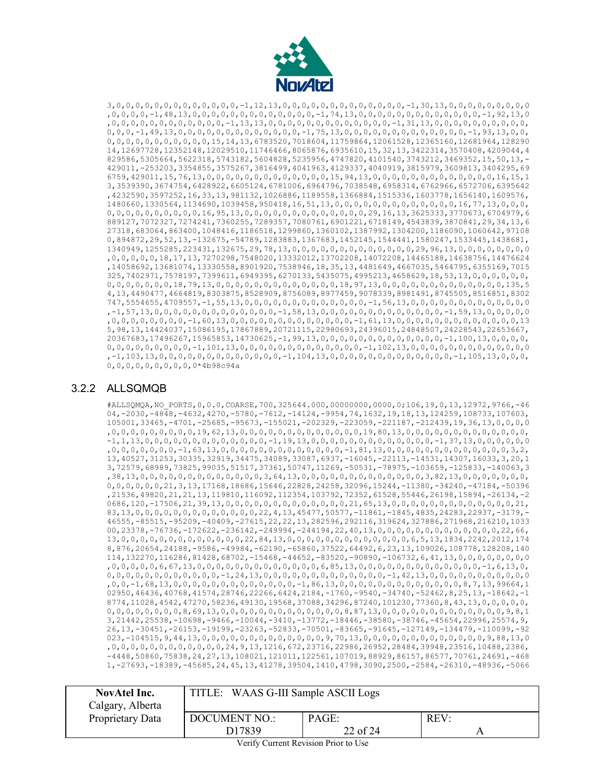

3,0,0,0,0,0,0,0,0,0,0,0,0,0,-1,12,13,0,0,0,0,0,0,0,0,0,0,0,0,0,-1,30,13,0,0,0,0,0,0,0,0,0 ,0,0,0,0,-1,48,13,0,0,0,0,0,0,0,0,0,0,0,0,0,-1,74,13,0,0,0,0,0,0,0,0,0,0,0,0,0,-1,92,13,0 ,0,0,0,0,0,0,0,0,0,0,0,0,-1,13,13,0,0,0,0,0,0,0,0,0,0,0,0,0,-1,31,13,0,0,0,0,0,0,0,0,0,0, 0,0,0,-1,49,13,0,0,0,0,0,0,0,0,0,0,0,0,0,-1,75,13,0,0,0,0,0,0,0,0,0,0,0,0,0,-1,93,13,0,0, 0,0,0,0,0,0,0,0,0,0,0,15,14,13,6783520,7018604,11759864,12061528,12365160,12681964,128290 14,12697728,12352148,12029510,11746466,8065876,6935610,15,32,13,3422314,3570408,4209044,4 829586,5305664,5622318,5743182,5604828,5235956,4747820,4101540,3743212,3469352,15,50,13,- 429011,-253203,3354855,3575267,3816499,4041963,4129337,4040919,3815979,3609813,3404295,69 6759,429011,15,76,13,0,0,0,0,0,0,0,0,0,0,0,0,0,15,94,13,0,0,0,0,0,0,0,0,0,0,0,0,0,16,15,1 3,3539390,3674754,6428922,6605124,6781006,6964796,7038548,6958314,6762966,6572706,6395642 ,4232590,3597252,16,33,13,981132,1026886,1189558,1366884,1515336,1603778,1656140,1609576, 1480660,1330564,1134690,1039458,950418,16,51,13,0,0,0,0,0,0,0,0,0,0,0,0,0,16,77,13,0,0,0, 0,0,0,0,0,0,0,0,0,0,16,95,13,0,0,0,0,0,0,0,0,0,0,0,0,0,29,16,13,3625333,3770673,6704979,6 889127,7072327,7274241,7360255,7289357,7080761,6901221,6718149,4543839,3870841,29,34,13,6 27318,683064,863400,1048416,1186518,1299860,1360102,1387992,1304200,1186090,1060642,97108 0,894872,29,52,13,-132675,-54789,1283883,1367683,1452145,1544441,1580247,1533445,1438681, 1340949,1255285,223431,132675,29,78,13,0,0,0,0,0,0,0,0,0,0,0,0,0,29,96,13,0,0,0,0,0,0,0,0 ,0,0,0,0,0,18,17,13,7270298,7548020,13332012,13702208,14072208,14465188,14638756,14476624 ,14058692,13681074,13330558,8901920,7538946,18,35,13,4481649,4667035,5464795,6355169,7015 325,7402971,7578197,7399611,6949395,6270133,5435075,4995213,4658629,18,53,13,0,0,0,0,0,0, 0,0,0,0,0,0,0,18,79,13,0,0,0,0,0,0,0,0,0,0,0,0,0,18,97,13,0,0,0,0,0,0,0,0,0,0,0,0,0,135,5 4,13,4490477,4664819,8303875,8528909,8756089,8977459,9078339,8981491,8745505,8516851,8302 747,5554655,4709557,-1,55,13,0,0,0,0,0,0,0,0,0,0,0,0,0,-1,56,13,0,0,0,0,0,0,0,0,0,0,0,0,0 ,-1,57,13,0,0,0,0,0,0,0,0,0,0,0,0,0,-1,58,13,0,0,0,0,0,0,0,0,0,0,0,0,0,-1,59,13,0,0,0,0,0 ,0,0,0,0,0,0,0,0,-1,60,13,0,0,0,0,0,0,0,0,0,0,0,0,0,-1,61,13,0,0,0,0,0,0,0,0,0,0,0,0,0,13 5,98,13,14424037,15086195,17867889,20721115,22980693,24396015,24848507,24228543,22653667, 20367683,17496267,15965853,14730625,-1,99,13,0,0,0,0,0,0,0,0,0,0,0,0,0,-1,100,13,0,0,0,0, 0,0,0,0,0,0,0,0,0,-1,101,13,0,0,0,0,0,0,0,0,0,0,0,0,0,-1,102,13,0,0,0,0,0,0,0,0,0,0,0,0,0 ,-1,103,13,0,0,0,0,0,0,0,0,0,0,0,0,0,-1,104,13,0,0,0,0,0,0,0,0,0,0,0,0,0,-1,105,13,0,0,0, 0,0,0,0,0,0,0,0,0,0\*4b98c94a

#### <span id="page-21-0"></span>3.2.2 ALLSQMQB

#ALLSQMQA,NO\_PORTS,0,0.0,COARSE,700,325644.000,00000000,0000,0;106,19,0,13,12972,9766,-46 04,-2030,-4848,-4632,4270,-5780,-7612,-14124,-9954,74,1632,19,18,13,124259,108733,107603, 105001,33465,-4701,-25685,-95673,-155021,-202329,-223059,-221187,-212439,19,36,13,0,0,0,0 ,0,0,0,0,0,0,0,0,0,19,62,13,0,0,0,0,0,0,0,0,0,0,0,0,0,19,80,13,0,0,0,0,0,0,0,0,0,0,0,0,0, -1,1,13,0,0,0,0,0,0,0,0,0,0,0,0,0,-1,19,13,0,0,0,0,0,0,0,0,0,0,0,0,0,-1,37,13,0,0,0,0,0,0 ,0,0,0,0,0,0,0,-1,63,13,0,0,0,0,0,0,0,0,0,0,0,0,0,-1,81,13,0,0,0,0,0,0,0,0,0,0,0,0,0,3,2, 13,40527,31253,30335,32919,34475,34089,33087,6937,-16045,-22113,-14531,14307,16033,3,20,1 3,72579,68989,73825,99035,51517,37361,50747,11269,-50531,-78975,-103659,-125833,-140063,3 ,38,13,0,0,0,0,0,0,0,0,0,0,0,0,0,3,64,13,0,0,0,0,0,0,0,0,0,0,0,0,0,3,82,13,0,0,0,0,0,0,0, 0,0,0,0,0,0,21,3,13,17168,18686,15646,22828,24258,32096,15244,-11380,-34240,-47184,-50396 ,21536,49820,21,21,13,119810,116092,112354,103792,72352,61528,55446,26198,15894,-26134,-2 0686,120,-17506,21,39,13,0,0,0,0,0,0,0,0,0,0,0,0,0,21,65,13,0,0,0,0,0,0,0,0,0,0,0,0,0,21, 83,13,0,0,0,0,0,0,0,0,0,0,0,0,0,22,4,13,45477,50577,-11861,-1845,4835,24283,22937,-3179,- 46555,-85515,-95209,-40409,-27615,22,22,13,282596,292116,319624,327886,271968,216210,1033 00,23378,-76736,-172622,-236142,-249994,-244194,22,40,13,0,0,0,0,0,0,0,0,0,0,0,0,0,22,66, 13,0,0,0,0,0,0,0,0,0,0,0,0,0,22,84,13,0,0,0,0,0,0,0,0,0,0,0,0,0,6,5,13,1834,2242,2012,174 8,876,20654,24188,-9586,-49984,-62190,-65860,37522,64492,6,23,13,109026,108778,128208,140 114,132270,116286,81428,68702,-15468,-44652,-83520,-90890,-106732,6,41,13,0,0,0,0,0,0,0,0 ,0,0,0,0,0,6,67,13,0,0,0,0,0,0,0,0,0,0,0,0,0,6,85,13,0,0,0,0,0,0,0,0,0,0,0,0,0,-1,6,13,0, 0,0,0,0,0,0,0,0,0,0,0,0,-1,24,13,0,0,0,0,0,0,0,0,0,0,0,0,0,-1,42,13,0,0,0,0,0,0,0,0,0,0,0 ,0,0,-1,68,13,0,0,0,0,0,0,0,0,0,0,0,0,0,-1,86,13,0,0,0,0,0,0,0,0,0,0,0,0,0,8,7,13,99664,1 02950,46436,40768,41574,28746,22266,6424,2184,-1760,-9540,-34740,-52462,8,25,13,-18642,-1 8774,11028,4542,47270,58236,49130,19568,37088,34296,87240,101230,77360,8,43,13,0,0,0,0,0, 0,0,0,0,0,0,0,0,8,69,13,0,0,0,0,0,0,0,0,0,0,0,0,0,8,87,13,0,0,0,0,0,0,0,0,0,0,0,0,0,9,8,1 3,21442,25538,-10698,-9466,-10044,-3410,-13772,-18446,-38580,-38746,-45654,22996,25574,9, 26,13,-30451,-26153,-19199,-23263,-52833,-70501,-83665,-91645,-127149,-134479,-110099,-92 023,-104515,9,44,13,0,0,0,0,0,0,0,0,0,0,0,0,0,9,70,13,0,0,0,0,0,0,0,0,0,0,0,0,0,9,88,13,0 ,0,0,0,0,0,0,0,0,0,0,0,0,24,9,13,1216,672,23716,22986,26952,28484,39948,23516,10488,2386, -4448,50860,75838,24,27,13,108021,121011,122561,107019,88929,86157,86577,70761,24691,-468 1,-27693,-18389,-45685,24,45,13,41278,39504,1410,4798,3090,2500,-2584,-26310,-48936,-5066

| <b>NovAtel Inc.</b> | TITLE: WAAS G-III Sample ASCII Logs |          |      |
|---------------------|-------------------------------------|----------|------|
| Calgary, Alberta    |                                     |          |      |
| Proprietary Data    | <b>DOCUMENT NO.:</b>                | PAGE:    | REV: |
|                     | D17839                              | 22 of 24 |      |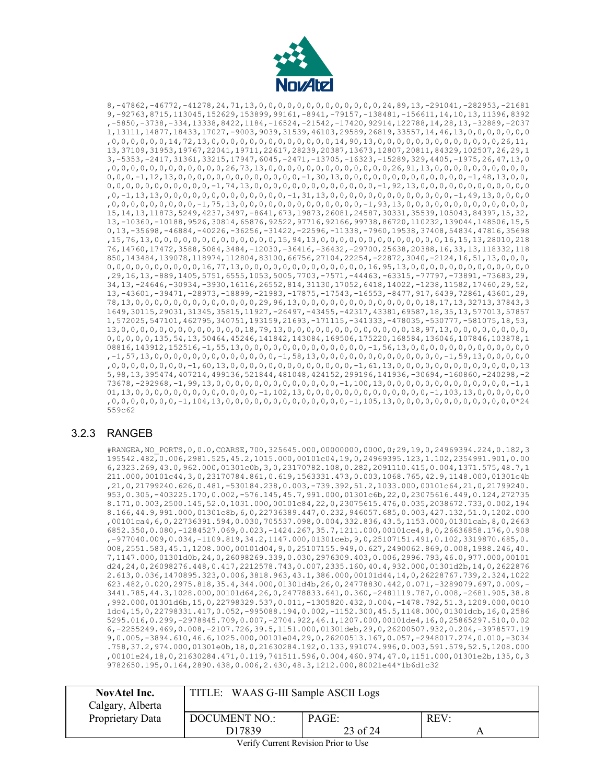

8,-47862,-46772,-41278,24,71,13,0,0,0,0,0,0,0,0,0,0,0,0,0,24,89,13,-291041,-282953,-21681 9,-92763,8715,113045,152629,153899,99161,-8941,-79157,-138481,-156611,14,10,13,11396,8392 ,-5850,-3738,-334,13338,8422,1184,-16524,-21542,-17420,92914,122788,14,28,13,-32889,-2037 1,13111,14877,18433,17027,-9003,9039,31539,46103,29589,26819,33557,14,46,13,0,0,0,0,0,0,0 ,0,0,0,0,0,0,14,72,13,0,0,0,0,0,0,0,0,0,0,0,0,0,14,90,13,0,0,0,0,0,0,0,0,0,0,0,0,0,26,11, 13,37109,31953,19767,22041,19711,22617,28239,20387,13673,12807,20811,84329,102507,26,29,1 3,-5353,-2417,31361,33215,17947,6045,-2471,-13705,-16323,-15289,329,4405,-1975,26,47,13,0 ,0,0,0,0,0,0,0,0,0,0,0,0,26,73,13,0,0,0,0,0,0,0,0,0,0,0,0,0,26,91,13,0,0,0,0,0,0,0,0,0,0, 0,0,0,-1,12,13,0,0,0,0,0,0,0,0,0,0,0,0,0,-1,30,13,0,0,0,0,0,0,0,0,0,0,0,0,0,-1,48,13,0,0, 0,0,0,0,0,0,0,0,0,0,0,-1,74,13,0,0,0,0,0,0,0,0,0,0,0,0,0,-1,92,13,0,0,0,0,0,0,0,0,0,0,0,0 ,0,-1,13,13,0,0,0,0,0,0,0,0,0,0,0,0,0,-1,31,13,0,0,0,0,0,0,0,0,0,0,0,0,0,-1,49,13,0,0,0,0 ,0,0,0,0,0,0,0,0,0,-1,75,13,0,0,0,0,0,0,0,0,0,0,0,0,0,-1,93,13,0,0,0,0,0,0,0,0,0,0,0,0,0, 15,14,13,11873,5249,4237,3497,-8641,673,19873,26081,24587,30331,35539,105043,84397,15,32, 13,-10360,-10188,9526,30814,65876,92522,97716,92166,99738,86720,110232,139044,148506,15,5 0,13,-35698,-46884,-40226,-36256,-31422,-22596,-11338,-7960,19538,37408,54834,47816,35698 ,15,76,13,0,0,0,0,0,0,0,0,0,0,0,0,0,15,94,13,0,0,0,0,0,0,0,0,0,0,0,0,0,16,15,13,28010,218 76,14760,17472,3588,5084,3484,-12030,-36416,-36432,-29700,25638,20388,16,33,13,118332,118 850,143484,139078,118974,112804,83100,66756,27104,22254,-22872,3040,-2124,16,51,13,0,0,0, 0,0,0,0,0,0,0,0,0,0,16,77,13,0,0,0,0,0,0,0,0,0,0,0,0,0,16,95,13,0,0,0,0,0,0,0,0,0,0,0,0,0 ,29,16,13,-889,1405,5751,6555,1053,5005,7703,-7571,-44463,-63315,-77797,-73891,-73683,29, 34,13,-24646,-30934,-3930,16116,26552,814,31130,17052,6418,14022,-1238,11582,17460,29,52, 13,-43601,-39471,-28973,-18899,-21983,-17875,-17543,-16553,-8477,917,6439,72861,43601,29, 78,13,0,0,0,0,0,0,0,0,0,0,0,0,0,29,96,13,0,0,0,0,0,0,0,0,0,0,0,0,0,18,17,13,32713,37843,3 1649,30115,29031,31345,35815,11927,-26497,-43455,-42317,43381,69587,18,35,13,577013,57857 1,572025,547101,462795,340751,193159,21693,-171115,-341333,-478035,-530777,-581075,18,53, 13,0,0,0,0,0,0,0,0,0,0,0,0,0,18,79,13,0,0,0,0,0,0,0,0,0,0,0,0,0,18,97,13,0,0,0,0,0,0,0,0, 0,0,0,0,0,135,54,13,50464,45246,141842,143084,169506,175220,168584,136046,107846,103878,1 08816,143912,152516,-1,55,13,0,0,0,0,0,0,0,0,0,0,0,0,0,-1,56,13,0,0,0,0,0,0,0,0,0,0,0,0,0 ,-1,57,13,0,0,0,0,0,0,0,0,0,0,0,0,0,-1,58,13,0,0,0,0,0,0,0,0,0,0,0,0,0,-1,59,13,0,0,0,0,0 ,0,0,0,0,0,0,0,0,-1,60,13,0,0,0,0,0,0,0,0,0,0,0,0,0,-1,61,13,0,0,0,0,0,0,0,0,0,0,0,0,0,13 5,98,13,395474,407214,499136,521844,481048,424152,299196,141936,-30694,-160860,-240298,-2 73678,-292968,-1,99,13,0,0,0,0,0,0,0,0,0,0,0,0,0,-1,100,13,0,0,0,0,0,0,0,0,0,0,0,0,0,-1,1 01,13,0,0,0,0,0,0,0,0,0,0,0,0,0,-1,102,13,0,0,0,0,0,0,0,0,0,0,0,0,0,-1,103,13,0,0,0,0,0,0 ,0,0,0,0,0,0,0,-1,104,13,0,0,0,0,0,0,0,0,0,0,0,0,0,-1,105,13,0,0,0,0,0,0,0,0,0,0,0,0,0\*24 559c62

#### <span id="page-22-0"></span>3.2.3 RANGEB

#RANGEA,NO\_PORTS,0,0.0,COARSE,700,325645.000,00000000,0000,0;29,19,0,24969394.224,0.182,3 195542.482,0.006,2981.525,45.2,1015.000,00101c04,19,0,24969395.123,1.102,2354991.901,0.00 6,2323.269,43.0,962.000,01301c0b,3,0,23170782.108,0.282,2091110.415,0.004,1371.575,48.7,1 211.000,00101c44,3,0,23170784.861,0.619,1563331.473,0.003,1068.765,42.9,1148.000,01301c4b ,21,0,21799240.626,0.481,-530184.238,0.003,-739.392,51.2,1033.000,00101c64,21,0,21799240. 953,0.305,-403225.170,0.002,-576.145,45.7,991.000,01301c6b,22,0,23075616.449,0.124,272735 8.171,0.003,2500.145,52.0,1031.000,00101c84,22,0,23075615.476,0.035,2038672.733,0.002,194 8.166,44.9,991.000,01301c8b,6,0,22736389.447,0.232,946057.685,0.003,427.132,51.0,1202.000 ,00101ca4,6,0,22736391.594,0.030,705537.098,0.004,332.836,43.5,1153.000,01301cab,8,0,2663 6852.350,0.080,-1284527.069,0.023,-1424.267,35.7,1211.000,00101ce4,8,0,26636858.176,0.908 ,-977040.009,0.034,-1109.819,34.2,1147.000,01301ceb,9,0,25107151.491,0.102,3319870.685,0. 008,2551.583,45.1,1208.000,00101d04,9,0,25107155.949,0.627,2490062.869,0.008,1988.246,40. 7,1147.000,01301d0b,24,0,26098269.339,0.030,2976309.403,0.006,2996.793,46.0,977.000,00101 d24,24,0,26098276.448,0.417,2212578.743,0.007,2335.160,40.4,932.000,01301d2b,14,0,2622876 2.613,0.036,1470895.323,0.006,3818.963,43.1,386.000,00101d44,14,0,26228767.739,2.324,1022 623.482,0.020,2975.818,35.4,344.000,01301d4b,26,0,24778830.442,0.071,-3289079.697,0.009,- 3441.785,44.3,1028.000,00101d64,26,0,24778833.641,0.360,-2481119.787,0.008,-2681.905,38.8 ,992.000,01301d6b,15,0,22798329.537,0.011,-1305820.432,0.004,-1478.792,51.3,1209.000,0010 1dc4,15,0,22798331.417,0.052,-995088.194,0.002,-1152.300,45.5,1148.000,01301dcb,16,0,2586 5295.016,0.299,-2978845.709,0.007,-2704.922,46.1,1207.000,00101de4,16,0,25865297.510,0.02 6,-2255249.469,0.008,-2107.726,39.5,1151.000,01301deb,29,0,26200507.932,0.204,-3978577.19 9,0.005,-3894.610,46.6,1025.000,00101e04,29,0,26200513.167,0.057,-2948017.274,0.010,-3034 .758,37.2,974.000,01301e0b,18,0,21630284.192,0.133,991074.996,0.003,591.579,52.5,1208.000 ,00101e24,18,0,21630284.471,0.119,741511.596,0.004,460.974,47.0,1151.000,01301e2b,135,0,3 9782650.195,0.164,2890.438,0.006,2.430,48.3,1212.000,80021e44\*1b6d1c32

| <b>NovAtel Inc.</b><br>Calgary, Alberta | TITLE: WAAS G-III Sample ASCII Logs        |                   |     |  |
|-----------------------------------------|--------------------------------------------|-------------------|-----|--|
| Proprietary Data                        | <b>DOCUMENT NO.:</b><br>D <sub>17839</sub> | PAGE:<br>23 of 24 | REV |  |